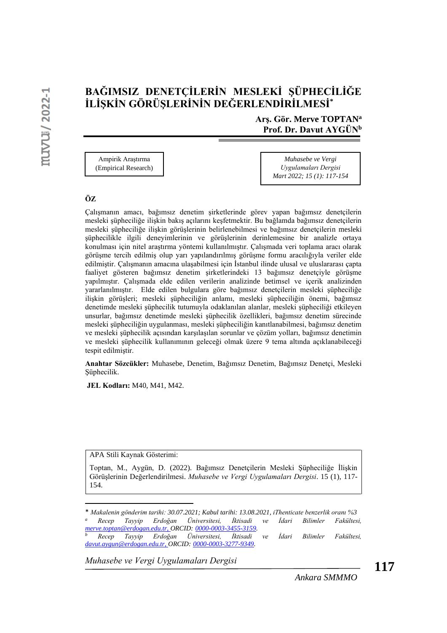# **BAĞIMSIZ DENETÇİLERİN MESLEKİ ŞÜPHECİLİĞE İLİŞKİN GÖRÜŞLERİNİN DEĞERLENDİRİLMESİ\***

**Arş. Gör. Merve TOPTAN<sup>a</sup> Prof. Dr. Davut AYGÜN<sup>b</sup>**

Ampirik Araştırma (Empirical Research)

*Muhasebe ve Vergi Uygulamaları Dergisi Mart 2022; 15 (1): 117-154*

#### **ÖZ**

Çalışmanın amacı, bağımsız denetim şirketlerinde görev yapan bağımsız denetçilerin mesleki şüpheciliğe ilişkin bakış açılarını keşfetmektir. Bu bağlamda bağımsız denetçilerin mesleki şüpheciliğe ilişkin görüşlerinin belirlenebilmesi ve bağımsız denetçilerin mesleki şüphecilikle ilgili deneyimlerinin ve görüşlerinin derinlemesine bir analizle ortaya konulması için nitel araştırma yöntemi kullanılmıştır. Çalışmada veri toplama aracı olarak görüşme tercih edilmiş olup yarı yapılandırılmış görüşme formu aracılığıyla veriler elde edilmiştir. Çalışmanın amacına ulaşabilmesi için İstanbul ilinde ulusal ve uluslararası çapta faaliyet gösteren bağımsız denetim şirketlerindeki 13 bağımsız denetçiyle görüşme yapılmıştır. Çalışmada elde edilen verilerin analizinde betimsel ve içerik analizinden yararlanılmıştır. Elde edilen bulgulara göre bağımsız denetçilerin mesleki şüpheciliğe ilişkin görüşleri; mesleki şüpheciliğin anlamı, mesleki şüpheciliğin önemi, bağımsız denetimde mesleki şüphecilik tutumuyla odaklanılan alanlar, mesleki şüpheciliği etkileyen unsurlar, bağımsız denetimde mesleki şüphecilik özellikleri, bağımsız denetim sürecinde mesleki şüpheciliğin uygulanması, mesleki şüpheciliğin kanıtlanabilmesi, bağımsız denetim ve mesleki şüphecilik açısından karşılaşılan sorunlar ve çözüm yolları, bağımsız denetimin ve mesleki şüphecilik kullanımının geleceği olmak üzere 9 tema altında açıklanabileceği tespit edilmiştir.

**Anahtar Sözcükler:** Muhasebe, Denetim, Bağımsız Denetim, Bağımsız Denetçi, Mesleki Şüphecilik.

**JEL Kodları:** M40, M41, M42.

APA Stili Kaynak Gösterimi:

Toptan, M., Aygün, D. (2022). Bağımsız Denetçilerin Mesleki Şüpheciliğe İlişkin Görüşlerinin Değerlendirilmesi. *Muhasebe ve Vergi Uygulamaları Dergisi*. 15 (1), 117- 154.

<sup>\*</sup> *Makalenin gönderim tarihi: 30.07.2021; Kabul tarihi: 13.08.2021, iThenticate benzerlik oranı %3 <sup>a</sup> Recep Tayyip Erdoğan Üniversitesi, İktisadi ve İdari Bilimler Fakültesi, [merve.toptan@erdogan.edu.tr,](mailto:merve.toptan@erdogan.edu.tr) ORCID: 0000-0003-3455-3159.*

*<sup>b</sup> Recep Tayyip Erdoğan Üniversitesi, İktisadi ve İdari Bilimler Fakültesi, [davut.aygun@erdogan.edu.tr,](mailto:hikmet.ulusan@bozok.edu.tr) ORCID: 0000-0003-3277-9349.*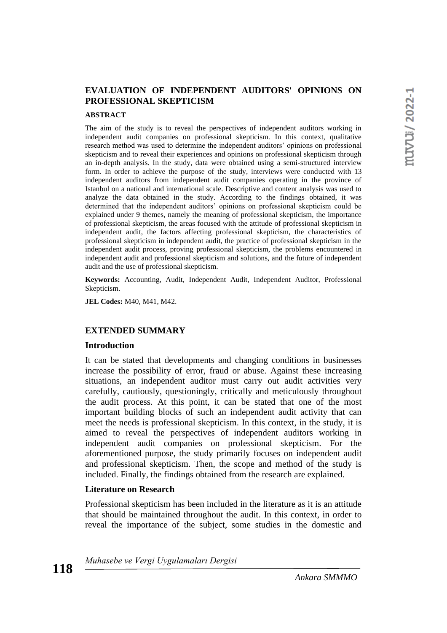### **EVALUATION OF INDEPENDENT AUDITORS' OPINIONS ON PROFESSIONAL SKEPTICISM**

#### **ABSTRACT**

The aim of the study is to reveal the perspectives of independent auditors working in independent audit companies on professional skepticism. In this context, qualitative research method was used to determine the independent auditors' opinions on professional skepticism and to reveal their experiences and opinions on professional skepticism through an in-depth analysis. In the study, data were obtained using a semi-structured interview form. In order to achieve the purpose of the study, interviews were conducted with 13 independent auditors from independent audit companies operating in the province of Istanbul on a national and international scale. Descriptive and content analysis was used to analyze the data obtained in the study. According to the findings obtained, it was determined that the independent auditors' opinions on professional skepticism could be explained under 9 themes, namely the meaning of professional skepticism, the importance of professional skepticism, the areas focused with the attitude of professional skepticism in independent audit, the factors affecting professional skepticism, the characteristics of professional skepticism in independent audit, the practice of professional skepticism in the independent audit process, proving professional skepticism, the problems encountered in independent audit and professional skepticism and solutions, and the future of independent audit and the use of professional skepticism.

**Keywords:** Accounting, Audit, Independent Audit, Independent Auditor, Professional Skepticism.

**JEL Codes:** M40, M41, M42.

#### **EXTENDED SUMMARY**

#### **Introduction**

It can be stated that developments and changing conditions in businesses increase the possibility of error, fraud or abuse. Against these increasing situations, an independent auditor must carry out audit activities very carefully, cautiously, questioningly, critically and meticulously throughout the audit process. At this point, it can be stated that one of the most important building blocks of such an independent audit activity that can meet the needs is professional skepticism. In this context, in the study, it is aimed to reveal the perspectives of independent auditors working in independent audit companies on professional skepticism. For the aforementioned purpose, the study primarily focuses on independent audit and professional skepticism. Then, the scope and method of the study is included. Finally, the findings obtained from the research are explained.

#### **Literature on Research**

Professional skepticism has been included in the literature as it is an attitude that should be maintained throughout the audit. In this context, in order to reveal the importance of the subject, some studies in the domestic and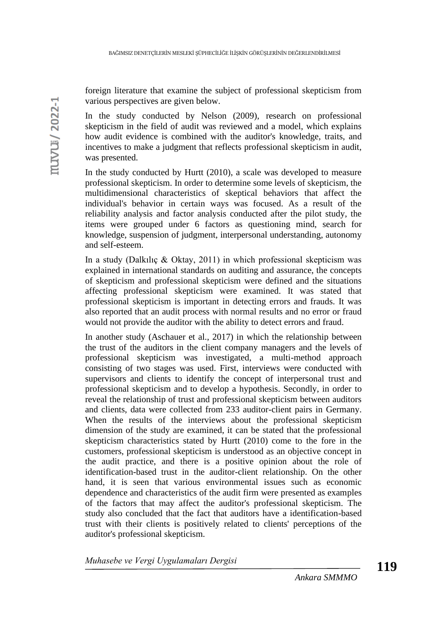foreign literature that examine the subject of professional skepticism from various perspectives are given below.

In the study conducted by Nelson (2009), research on professional skepticism in the field of audit was reviewed and a model, which explains how audit evidence is combined with the auditor's knowledge, traits, and incentives to make a judgment that reflects professional skepticism in audit, was presented.

In the study conducted by Hurtt (2010), a scale was developed to measure professional skepticism. In order to determine some levels of skepticism, the multidimensional characteristics of skeptical behaviors that affect the individual's behavior in certain ways was focused. As a result of the reliability analysis and factor analysis conducted after the pilot study, the items were grouped under 6 factors as questioning mind, search for knowledge, suspension of judgment, interpersonal understanding, autonomy and self-esteem.

In a study (Dalkılıç & Oktay, 2011) in which professional skepticism was explained in international standards on auditing and assurance, the concepts of skepticism and professional skepticism were defined and the situations affecting professional skepticism were examined. It was stated that professional skepticism is important in detecting errors and frauds. It was also reported that an audit process with normal results and no error or fraud would not provide the auditor with the ability to detect errors and fraud.

In another study (Aschauer et al., 2017) in which the relationship between the trust of the auditors in the client company managers and the levels of professional skepticism was investigated, a multi-method approach consisting of two stages was used. First, interviews were conducted with supervisors and clients to identify the concept of interpersonal trust and professional skepticism and to develop a hypothesis. Secondly, in order to reveal the relationship of trust and professional skepticism between auditors and clients, data were collected from 233 auditor-client pairs in Germany. When the results of the interviews about the professional skepticism dimension of the study are examined, it can be stated that the professional skepticism characteristics stated by Hurtt (2010) come to the fore in the customers, professional skepticism is understood as an objective concept in the audit practice, and there is a positive opinion about the role of identification-based trust in the auditor-client relationship. On the other hand, it is seen that various environmental issues such as economic dependence and characteristics of the audit firm were presented as examples of the factors that may affect the auditor's professional skepticism. The study also concluded that the fact that auditors have a identification-based trust with their clients is positively related to clients' perceptions of the auditor's professional skepticism.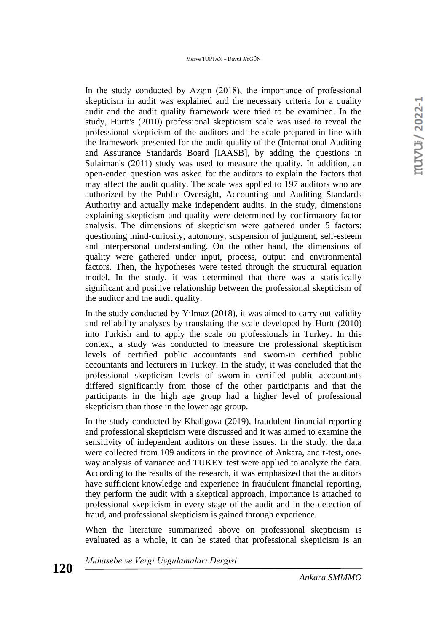In the study conducted by Azgın (2018), the importance of professional skepticism in audit was explained and the necessary criteria for a quality audit and the audit quality framework were tried to be examined. In the study, Hurtt's (2010) professional skepticism scale was used to reveal the professional skepticism of the auditors and the scale prepared in line with the framework presented for the audit quality of the (International Auditing and Assurance Standards Board [IAASB], by adding the questions in Sulaiman's (2011) study was used to measure the quality. In addition, an open-ended question was asked for the auditors to explain the factors that may affect the audit quality. The scale was applied to 197 auditors who are authorized by the Public Oversight, Accounting and Auditing Standards Authority and actually make independent audits. In the study, dimensions explaining skepticism and quality were determined by confirmatory factor analysis. The dimensions of skepticism were gathered under 5 factors: questioning mind-curiosity, autonomy, suspension of judgment, self-esteem and interpersonal understanding. On the other hand, the dimensions of quality were gathered under input, process, output and environmental factors. Then, the hypotheses were tested through the structural equation model. In the study, it was determined that there was a statistically significant and positive relationship between the professional skepticism of the auditor and the audit quality.

In the study conducted by Yılmaz (2018), it was aimed to carry out validity and reliability analyses by translating the scale developed by Hurtt (2010) into Turkish and to apply the scale on professionals in Turkey. In this context, a study was conducted to measure the professional skepticism levels of certified public accountants and sworn-in certified public accountants and lecturers in Turkey. In the study, it was concluded that the professional skepticism levels of sworn-in certified public accountants differed significantly from those of the other participants and that the participants in the high age group had a higher level of professional skepticism than those in the lower age group.

In the study conducted by Khaligova (2019), fraudulent financial reporting and professional skepticism were discussed and it was aimed to examine the sensitivity of independent auditors on these issues. In the study, the data were collected from 109 auditors in the province of Ankara, and t-test, oneway analysis of variance and TUKEY test were applied to analyze the data. According to the results of the research, it was emphasized that the auditors have sufficient knowledge and experience in fraudulent financial reporting, they perform the audit with a skeptical approach, importance is attached to professional skepticism in every stage of the audit and in the detection of fraud, and professional skepticism is gained through experience.

When the literature summarized above on professional skepticism is evaluated as a whole, it can be stated that professional skepticism is an

*Muhasebe ve Vergi Uygulamaları Dergisi*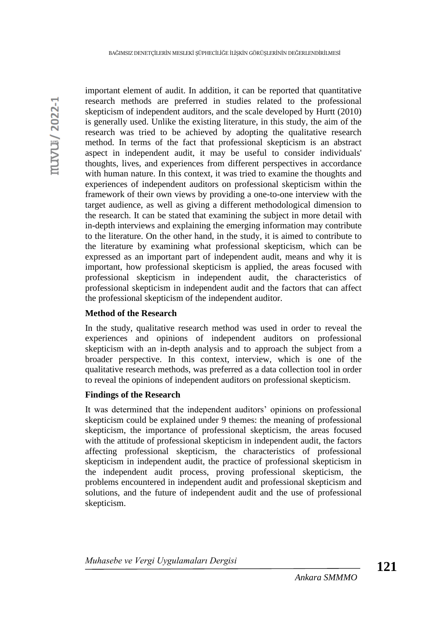important element of audit. In addition, it can be reported that quantitative research methods are preferred in studies related to the professional skepticism of independent auditors, and the scale developed by Hurtt (2010) is generally used. Unlike the existing literature, in this study, the aim of the research was tried to be achieved by adopting the qualitative research method. In terms of the fact that professional skepticism is an abstract aspect in independent audit, it may be useful to consider individuals' thoughts, lives, and experiences from different perspectives in accordance with human nature. In this context, it was tried to examine the thoughts and experiences of independent auditors on professional skepticism within the framework of their own views by providing a one-to-one interview with the target audience, as well as giving a different methodological dimension to the research. It can be stated that examining the subject in more detail with in-depth interviews and explaining the emerging information may contribute to the literature. On the other hand, in the study, it is aimed to contribute to the literature by examining what professional skepticism, which can be expressed as an important part of independent audit, means and why it is important, how professional skepticism is applied, the areas focused with professional skepticism in independent audit, the characteristics of professional skepticism in independent audit and the factors that can affect the professional skepticism of the independent auditor.

# **Method of the Research**

In the study, qualitative research method was used in order to reveal the experiences and opinions of independent auditors on professional skepticism with an in-depth analysis and to approach the subject from a broader perspective. In this context, interview, which is one of the qualitative research methods, was preferred as a data collection tool in order to reveal the opinions of independent auditors on professional skepticism.

## **Findings of the Research**

It was determined that the independent auditors' opinions on professional skepticism could be explained under 9 themes: the meaning of professional skepticism, the importance of professional skepticism, the areas focused with the attitude of professional skepticism in independent audit, the factors affecting professional skepticism, the characteristics of professional skepticism in independent audit, the practice of professional skepticism in the independent audit process, proving professional skepticism, the problems encountered in independent audit and professional skepticism and solutions, and the future of independent audit and the use of professional skepticism.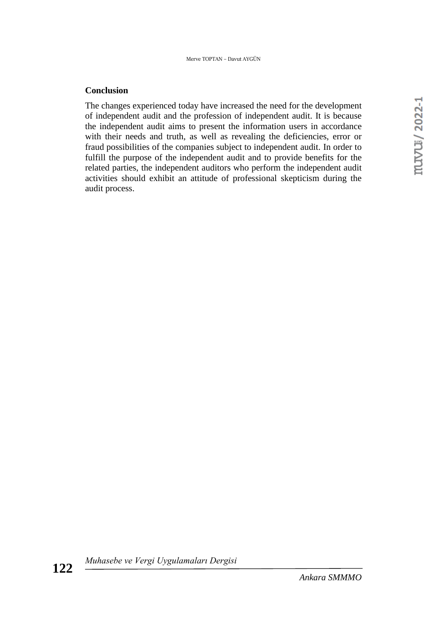### **Conclusion**

The changes experienced today have increased the need for the development of independent audit and the profession of independent audit. It is because the independent audit aims to present the information users in accordance with their needs and truth, as well as revealing the deficiencies, error or fraud possibilities of the companies subject to independent audit. In order to fulfill the purpose of the independent audit and to provide benefits for the related parties, the independent auditors who perform the independent audit activities should exhibit an attitude of professional skepticism during the audit process.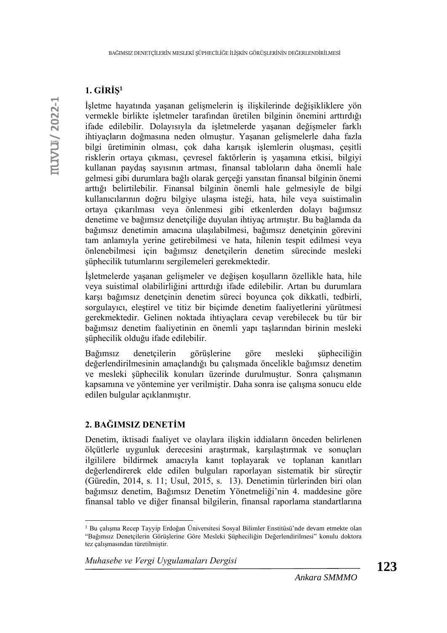# **1. GİRİŞ<sup>1</sup>**

İşletme hayatında yaşanan gelişmelerin iş ilişkilerinde değişikliklere yön vermekle birlikte işletmeler tarafından üretilen bilginin önemini arttırdığı ifade edilebilir. Dolayısıyla da işletmelerde yaşanan değişmeler farklı ihtiyaçların doğmasına neden olmuştur. Yaşanan gelişmelerle daha fazla bilgi üretiminin olması, çok daha karışık işlemlerin oluşması, çeşitli risklerin ortaya çıkması, çevresel faktörlerin iş yaşamına etkisi, bilgiyi kullanan paydaş sayısının artması, finansal tabloların daha önemli hale gelmesi gibi durumlara bağlı olarak gerçeği yansıtan finansal bilginin önemi arttığı belirtilebilir. Finansal bilginin önemli hale gelmesiyle de bilgi kullanıcılarının doğru bilgiye ulaşma isteği, hata, hile veya suistimalin ortaya çıkarılması veya önlenmesi gibi etkenlerden dolayı bağımsız denetime ve bağımsız denetçiliğe duyulan ihtiyaç artmıştır. Bu bağlamda da bağımsız denetimin amacına ulaşılabilmesi, bağımsız denetçinin görevini tam anlamıyla yerine getirebilmesi ve hata, hilenin tespit edilmesi veya önlenebilmesi için bağımsız denetçilerin denetim sürecinde mesleki şüphecilik tutumlarını sergilemeleri gerekmektedir.

İşletmelerde yaşanan gelişmeler ve değişen koşulların özellikle hata, hile veya suistimal olabilirliğini arttırdığı ifade edilebilir. Artan bu durumlara karşı bağımsız denetçinin denetim süreci boyunca çok dikkatli, tedbirli, sorgulayıcı, eleştirel ve titiz bir biçimde denetim faaliyetlerini yürütmesi gerekmektedir. Gelinen noktada ihtiyaçlara cevap verebilecek bu tür bir bağımsız denetim faaliyetinin en önemli yapı taşlarından birinin mesleki şüphecilik olduğu ifade edilebilir.

Bağımsız denetçilerin görüşlerine göre mesleki şüpheciliğin değerlendirilmesinin amaçlandığı bu çalışmada öncelikle bağımsız denetim ve mesleki şüphecilik konuları üzerinde durulmuştur. Sonra çalışmanın kapsamına ve yöntemine yer verilmiştir. Daha sonra ise çalışma sonucu elde edilen bulgular açıklanmıştır.

### **2. BAĞIMSIZ DENETİM**

Denetim, iktisadi faaliyet ve olaylara ilişkin iddiaların önceden belirlenen ölçütlerle uygunluk derecesini araştırmak, karşılaştırmak ve sonuçları ilgililere bildirmek amacıyla kanıt toplayarak ve toplanan kanıtları değerlendirerek elde edilen bulguları raporlayan sistematik bir süreçtir (Güredin, 2014, s. 11; Usul, 2015, s. 13). Denetimin türlerinden biri olan bağımsız denetim, Bağımsız Denetim Yönetmeliği'nin 4. maddesine göre finansal tablo ve diğer finansal bilgilerin, finansal raporlama standartlarına

<sup>1</sup> Bu çalışma Recep Tayyip Erdoğan Üniversitesi Sosyal Bilimler Enstitüsü'nde devam etmekte olan "Bağımsız Denetçilerin Görüşlerine Göre Mesleki Şüpheciliğin Değerlendirilmesi" konulu doktora tez çalışmasından türetilmiştir.

*Muhasebe ve Vergi Uygulamaları Dergisi*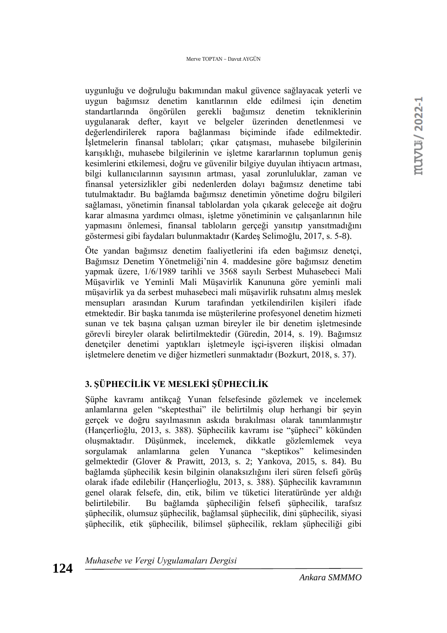uygunluğu ve doğruluğu bakımından makul güvence sağlayacak yeterli ve uygun bağımsız denetim kanıtlarının elde edilmesi için denetim standartlarında öngörülen gerekli bağımsız denetim tekniklerinin uygulanarak defter, kayıt ve belgeler üzerinden denetlenmesi ve değerlendirilerek rapora bağlanması biçiminde ifade edilmektedir. İşletmelerin finansal tabloları; çıkar çatışması, muhasebe bilgilerinin karışıklığı, muhasebe bilgilerinin ve işletme kararlarının toplumun geniş kesimlerini etkilemesi, doğru ve güvenilir bilgiye duyulan ihtiyacın artması, bilgi kullanıcılarının sayısının artması, yasal zorunluluklar, zaman ve finansal yetersizlikler gibi nedenlerden dolayı bağımsız denetime tabi tutulmaktadır. Bu bağlamda bağımsız denetimin yönetime doğru bilgileri sağlaması, yönetimin finansal tablolardan yola çıkarak geleceğe ait doğru karar almasına yardımcı olması, işletme yönetiminin ve çalışanlarının hile yapmasını önlemesi, finansal tabloların gerçeği yansıtıp yansıtmadığını göstermesi gibi faydaları bulunmaktadır (Kardeş Selimoğlu, 2017, s. 5-8).

Öte yandan bağımsız denetim faaliyetlerini ifa eden bağımsız denetçi, Bağımsız Denetim Yönetmeliği'nin 4. maddesine göre bağımsız denetim yapmak üzere, 1/6/1989 tarihli ve 3568 sayılı Serbest Muhasebeci Mali Müşavirlik ve Yeminli Mali Müşavirlik Kanununa göre yeminli mali müşavirlik ya da serbest muhasebeci mali müşavirlik ruhsatını almış meslek mensupları arasından Kurum tarafından yetkilendirilen kişileri ifade etmektedir. Bir başka tanımda ise müşterilerine profesyonel denetim hizmeti sunan ve tek başına çalışan uzman bireyler ile bir denetim işletmesinde görevli bireyler olarak belirtilmektedir (Güredin, 2014, s. 19). Bağımsız denetçiler denetimi yaptıkları işletmeyle işçi-işveren ilişkisi olmadan işletmelere denetim ve diğer hizmetleri sunmaktadır (Bozkurt, 2018, s. 37).

# **3. ŞÜPHECİLİK VE MESLEKİ ŞÜPHECİLİK**

Şüphe kavramı antikçağ Yunan felsefesinde gözlemek ve incelemek anlamlarına gelen "skeptesthai" ile belirtilmiş olup herhangi bir şeyin gerçek ve doğru sayılmasının askıda bırakılması olarak tanımlanmıştır (Hançerlioğlu, 2013, s. 388). Şüphecilik kavramı ise "şüpheci" kökünden oluşmaktadır. Düşünmek, incelemek, dikkatle gözlemlemek veya sorgulamak anlamlarına gelen Yunanca "skeptikos" kelimesinden gelmektedir (Glover & Prawitt, 2013, s. 2; Yankova, 2015, s. 84). Bu bağlamda şüphecilik kesin bilginin olanaksızlığını ileri süren felsefi görüş olarak ifade edilebilir (Hançerlioğlu, 2013, s. 388). Şüphecilik kavramının genel olarak felsefe, din, etik, bilim ve tüketici literatüründe yer aldığı belirtilebilir. Bu bağlamda şüpheciliğin felsefi şüphecilik, tarafsız şüphecilik, olumsuz şüphecilik, bağlamsal şüphecilik, dini şüphecilik, siyasi şüphecilik, etik şüphecilik, bilimsel şüphecilik, reklam şüpheciliği gibi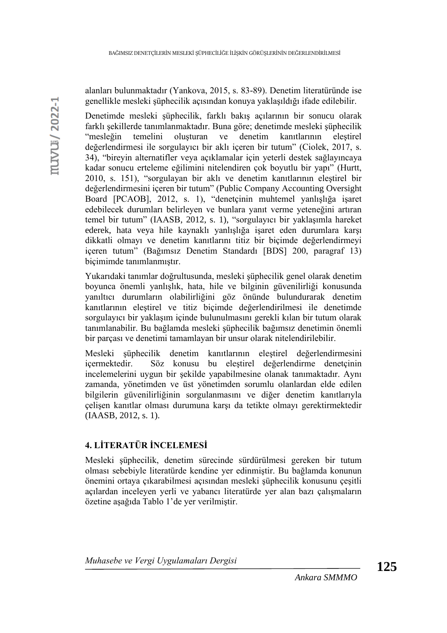alanları bulunmaktadır (Yankova, 2015, s. 83-89). Denetim literatüründe ise genellikle mesleki şüphecilik açısından konuya yaklaşıldığı ifade edilebilir.

Denetimde mesleki şüphecilik, farklı bakış açılarının bir sonucu olarak farklı şekillerde tanımlanmaktadır. Buna göre; denetimde mesleki şüphecilik "mesleğin temelini oluşturan ve denetim kanıtlarının eleştirel değerlendirmesi ile sorgulayıcı bir aklı içeren bir tutum" (Ciolek, 2017, s. 34), "bireyin alternatifler veya açıklamalar için yeterli destek sağlayıncaya kadar sonucu erteleme eğilimini nitelendiren çok boyutlu bir yapı" (Hurtt, 2010, s. 151), "sorgulayan bir aklı ve denetim kanıtlarının eleştirel bir değerlendirmesini içeren bir tutum" (Public Company Accounting Oversight Board [PCAOB], 2012, s. 1), "denetçinin muhtemel yanlışlığa işaret edebilecek durumları belirleyen ve bunlara yanıt verme yeteneğini artıran temel bir tutum" (IAASB, 2012, s. 1), "sorgulayıcı bir yaklaşımla hareket ederek, hata veya hile kaynaklı yanlışlığa işaret eden durumlara karşı dikkatli olmayı ve denetim kanıtlarını titiz bir biçimde değerlendirmeyi içeren tutum" (Bağımsız Denetim Standardı [BDS] 200, paragraf 13) biçimimde tanımlanmıştır.

Yukarıdaki tanımlar doğrultusunda, mesleki şüphecilik genel olarak denetim boyunca önemli yanlışlık, hata, hile ve bilginin güvenilirliği konusunda yanıltıcı durumların olabilirliğini göz önünde bulundurarak denetim kanıtlarının eleştirel ve titiz biçimde değerlendirilmesi ile denetimde sorgulayıcı bir yaklaşım içinde bulunulmasını gerekli kılan bir tutum olarak tanımlanabilir. Bu bağlamda mesleki şüphecilik bağımsız denetimin önemli bir parçası ve denetimi tamamlayan bir unsur olarak nitelendirilebilir.

Mesleki şüphecilik denetim kanıtlarının eleştirel değerlendirmesini içermektedir. Söz konusu bu eleştirel değerlendirme denetçinin incelemelerini uygun bir şekilde yapabilmesine olanak tanımaktadır. Aynı zamanda, yönetimden ve üst yönetimden sorumlu olanlardan elde edilen bilgilerin güvenilirliğinin sorgulanmasını ve diğer denetim kanıtlarıyla çelişen kanıtlar olması durumuna karşı da tetikte olmayı gerektirmektedir (IAASB, 2012, s. 1).

# **4. LİTERATÜR İNCELEMESİ**

Mesleki şüphecilik, denetim sürecinde sürdürülmesi gereken bir tutum olması sebebiyle literatürde kendine yer edinmiştir. Bu bağlamda konunun önemini ortaya çıkarabilmesi açısından mesleki şüphecilik konusunu çeşitli açılardan inceleyen yerli ve yabancı literatürde yer alan bazı çalışmaların özetine aşağıda Tablo 1'de yer verilmiştir.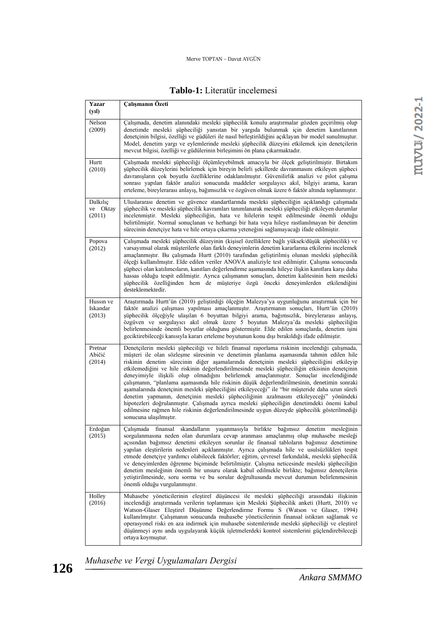# **Tablo-1:** Literatür incelemesi

| Yazar<br>(yıl)                  | Calışmanın Özeti                                                                                                                                                                                                                                                                                                                                                                                                                                                                                                                                                                                                                                                                                                                                                                                                                                                                                                                                                                                     |
|---------------------------------|------------------------------------------------------------------------------------------------------------------------------------------------------------------------------------------------------------------------------------------------------------------------------------------------------------------------------------------------------------------------------------------------------------------------------------------------------------------------------------------------------------------------------------------------------------------------------------------------------------------------------------------------------------------------------------------------------------------------------------------------------------------------------------------------------------------------------------------------------------------------------------------------------------------------------------------------------------------------------------------------------|
| Nelson<br>(2009)                | Çalışmada, denetim alanındaki mesleki şüphecilik konulu araştırmalar gözden geçirilmiş olup<br>denetimde mesleki süpheciliği yansıtan bir yargıda bulunmak için denetim kanıtlarının<br>denetçinin bilgisi, özelliği ve güdüleri ile nasıl birleştirildiğini açıklayan bir model sunulmuştur.<br>Model, denetim vargı ve eylemlerinde mesleki süphecilik düzeyini etkilemek için denetçilerin<br>mevcut bilgisi, özelliği ve güdülerinin birleşimini ön plana çıkarmaktadır.                                                                                                                                                                                                                                                                                                                                                                                                                                                                                                                         |
| Hurtt<br>(2010)                 | Çalışmada mesleki şüpheciliği ölçümleyebilmek amacıyla bir ölçek geliştirilmiştir. Birtakım<br>şüphecilik düzeylerini belirlemek için bireyin belirli şekillerde davranmasını etkileyen şüpheci<br>davranışların çok boyutlu özelliklerine odaklanılmıştır. Güvenilirlik analizi ve pilot çalışma<br>sonrası yapılan faktör analizi sonucunda maddeler sorgulayıcı akıl, bilgiyi arama, kararı<br>erteleme, bireylerarası anlayıs, bağımsızlık ve özgüven olmak üzere 6 faktör altında toplanmıştır.                                                                                                                                                                                                                                                                                                                                                                                                                                                                                                 |
| Dalkılıç<br>ve Oktay<br>(2011)  | Uluslararası denetim ve güvence standartlarında mesleki şüpheciliğin açıklandığı çalışmada<br>şüphecilik ve mesleki şüphecilik kavramları tanımlanarak mesleki şüpheciliği etkileyen durumlar<br>incelenmiştir. Mesleki şüpheciliğin, hata ve hilelerin tespit edilmesinde önemli olduğu<br>belirtilmiştir. Normal sonuçlanan ve herhangi bir hata veya hileye rastlanılmayan bir denetim<br>sürecinin denetçiye hata ve hile ortaya çıkarma yeteneğini sağlamayacağı ifade edilmiştir.                                                                                                                                                                                                                                                                                                                                                                                                                                                                                                              |
| Popova<br>(2012)                | Çalışmada mesleki şüphecilik düzeyinin (kişisel özelliklere bağlı yüksek/düşük şüphecilik) ve<br>varsayımsal olarak müşterilerle olan farklı deneyimlerin denetim kararlarına etkilerini incelemek<br>amaçlanmıştır. Bu çalışmada Hurtt (2010) tarafından geliştirilmiş olunan mesleki şüphecilik<br>ölçeği kullanılmıştır. Elde edilen veriler ANOVA analiziyle test edilmiştir. Çalışma sonucunda<br>şüpheci olan katılımcıların, kanıtları değerlendirme aşamasında hileye ilişkin kanıtlara karşı daha<br>hassas olduğu tespit edilmiştir. Ayrıca çalışmanın sonuçları, denetim kalitesinin hem mesleki<br>şüphecilik özelliğinden hem de müşteriye özgü önceki deneyimlerden etkilendiğini<br>desteklemektedir.                                                                                                                                                                                                                                                                                 |
| Hussin ve<br>Iskandar<br>(2013) | Araştırmada Hurtt'ün (2010) geliştirdiği ölçeğin Malezya'ya uygunluğunu araştırmak için bir<br>faktör analizi çalışması yapılması amaçlanmıştır. Araştırmanın sonuçları, Hurtt'ün (2010)<br>şüphecilik ölçeğiyle ulaşılan 6 boyuttan bilgiyi arama, bağımsızlık, bireylerarası anlayış,<br>özgüven ve sorgulayıcı akıl olmak üzere 5 boyutun Malezya'da mesleki şüpheciliğin<br>belirlenmesinde önemli boyutlar olduğunu göstermiştir. Elde edilen sonuçlarda, denetim işini<br>geciktirebileceği kanısıyla kararı erteleme boyutunun konu dışı bırakıldığı ifade edilmiştir.                                                                                                                                                                                                                                                                                                                                                                                                                        |
| Pretnar<br>Abičić<br>(2014)     | Denetçilerin mesleki şüpheciliği ve hileli finansal raporlama riskinin incelendiği çalışmada,<br>müşteri ile olan sözleşme süresinin ve denetimin planlama aşamasında tahmin edilen hile<br>riskinin denetim sürecinin diğer aşamalarında denetçinin mesleki şüpheciliğini etkileyip<br>etkilemediğini ve hile riskinin değerlendirilmesinde mesleki şüpheciliğin etkisinin denetçinin<br>deneyimiyle ilişkili olup olmadığını belirlemek amaçlanmıştır. Sonuçlar incelendiğinde<br>çalışmanın, "planlama aşamasında hile riskinin düşük değerlendirilmesinin, denetimin sonraki<br>aşamalarında denetçinin mesleki şüpheciliğini etkileyeceği" ile "bir müşteride daha uzun süreli<br>denetim yapmanın, denetçinin mesleki şüpheciliğinin azalmasını etkileyeceği" yönündeki<br>hipotezleri doğrulanmıştır. Çalışmada ayrıca mesleki şüpheciliğin denetimdeki önemi kabul<br>edilmesine rağmen hile riskinin değerlendirilmesinde uygun düzeyde şüphecilik gösterilmediği<br>sonucuna ulaşılmıştır. |
| Erdoğan<br>(2015)               | skandalların yaşanmasıyla birlikte<br>bağımsız<br>denetim mesleğinin<br>Calışmada<br>finansal<br>sorgulanmasına neden olan durumlara cevap aranması amaçlanmış olup muhasebe mesleği<br>açısından bağımsız denetimi etkileyen sorunlar ile finansal tabloların bağımsız denetimine<br>yapılan eleştirilerin nedenleri açıklanmıştır. Ayrıca çalışmada hile ve usulsüzlükleri tespit<br>etmede denetçiye yardımcı olabilecek faktörler; eğitim, çevresel farkındalık, mesleki şüphecilik<br>ve deneyimlerden öğrenme biçiminde belirtilmiştir. Çalışma neticesinde mesleki şüpheciliğin<br>denetim mesleğinin önemli bir unsuru olarak kabul edilmekle birlikte; bağımsız denetçilerin<br>yetiştirilmesinde, soru sorma ve bu sorular doğrultusunda mevcut durumun belirlenmesinin<br>önemli olduğu vurgulanmıştır.                                                                                                                                                                                   |
| Holley<br>(2016)                | Muhasebe yöneticilerinin eleştirel düşüncesi ile mesleki şüpheciliği arasındaki ilişkinin<br>incelendiği araştırmada verilerin toplanması için Mesleki Şüphecilik anketi (Hurtt, 2010) ve<br>Watson-Glaser Eleştirel Düşünme Değerlendirme Formu S (Watson ve Glaser, 1994)<br>kullanılmıştır. Çalışmanın sonucunda muhasebe yöneticilerinin finansal istikrarı sağlamak ve<br>operasyonel riski en aza indirmek için muhasebe sistemlerinde mesleki şüpheciliği ve eleştirel<br>düşünmeyi aynı anda uygulayarak küçük işletmelerdeki kontrol sistemlerini güçlendirebileceği<br>ortaya koymuştur.                                                                                                                                                                                                                                                                                                                                                                                                   |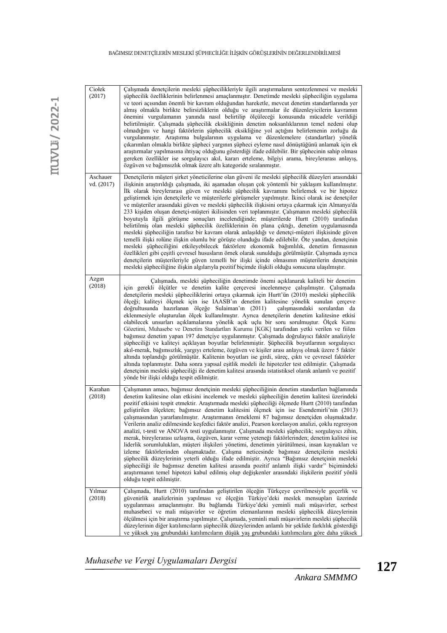| Ciołek<br>(2017)       | Çalışmada denetçilerin mesleki şüphecilikleriyle ilgili araştırmaların sentezlenmesi ve mesleki<br>şüphecilik özelliklerinin belirlenmesi amaçlanmıştır. Denetimde mesleki şüpheciliğin uygulama<br>ve teori açısından önemli bir kavram olduğundan hareketle, mevcut denetim standartlarında yer<br>almış olmakla birlikte belirsizliklerin olduğu ve araştırmalar ile düzenleyicilerin kavramın<br>önemini vurgulamanın yanında nasıl belirtilip ölçüleceği konusunda mücadele verildiği<br>belirtilmiştir. Çalışmada şüphecilik eksikliğinin denetim noksanlıklarının temel nedeni olup<br>olmadığını ve hangi faktörlerin şüphecilik eksikliğine yol açtığını belirlemenin zorluğu da<br>vurgulanmıştır. Araştırma bulgularının uygulama ve düzenlemelere (standartlar) yönelik<br>çıkarımları olmakla birlikte şüpheci yargının şüpheci eyleme nasıl dönüştüğünü anlamak için ek<br>araştırmalar yapılmasına ihtiyaç olduğunu gösterdiği ifade edilebilir. Bir şüphecinin sahip olması<br>gereken özellikler ise sorgulayıcı akıl, kararı erteleme, bilgiyi arama, bireylerarası anlayış,<br>özgüven ve bağımsızlık olmak üzere altı kategoride sıralanmıştır.                                                                                                                                                                                                                                                     |
|------------------------|-------------------------------------------------------------------------------------------------------------------------------------------------------------------------------------------------------------------------------------------------------------------------------------------------------------------------------------------------------------------------------------------------------------------------------------------------------------------------------------------------------------------------------------------------------------------------------------------------------------------------------------------------------------------------------------------------------------------------------------------------------------------------------------------------------------------------------------------------------------------------------------------------------------------------------------------------------------------------------------------------------------------------------------------------------------------------------------------------------------------------------------------------------------------------------------------------------------------------------------------------------------------------------------------------------------------------------------------------------------------------------------------------------------------------|
| Aschauer<br>vd. (2017) | Denetçilerin müşteri şirket yöneticilerine olan güveni ile mesleki şüphecilik düzeyleri arasındaki<br>ilişkinin araştırıldığı çalışmada, iki aşamadan oluşan çok yöntemli bir yaklaşım kullanılmıştır.<br>İlk olarak bireylerarası güven ve mesleki şüphecilik kavramını belirlemek ve bir hipotez<br>geliştirmek için denetçilerle ve müşterilerle görüşmeler yapılmıştır. İkinci olarak ise denetçiler<br>ve müşteriler arasındaki güven ve mesleki şüphecilik ilişkisini ortaya çıkarmak için Almanya'da<br>233 kişiden oluşan denetçi-müşteri ikilisinden veri toplanmıştır. Çalışmanın mesleki şüphecilik<br>boyutuyla ilgili görüşme sonuçları incelendiğinde; müşterilerde Hurtt (2010) tarafından<br>belirtilmiş olan mesleki şüphecilik özelliklerinin ön plana çıktığı, denetim uygulamasında<br>mesleki şüpheciliğin tarafsız bir kavram olarak anlaşıldığı ve denetçi-müşteri ilişkisinde güven<br>temelli ilişki rolüne ilişkin olumlu bir görüşte olunduğu ifade edilebilir. Öte yandan, denetçinin<br>mesleki şüpheciliğini etkileyebilecek faktörlere ekonomik bağımlılık, denetim firmasının<br>özellikleri gibi çeşitli çevresel hususların örnek olarak sunulduğu görülmüştür. Çalışmada ayrıca<br>denetçilerin müşterileriyle güven temelli bir ilişki içinde olmasının müşterilerin denetçinin<br>mesleki şüpheciliğine ilişkin algılarıyla pozitif biçimde ilişkili olduğu sonucuna ulaşılmıştır. |
| Azgin<br>(2018)        | Calismada, mesleki süpheciliğin denetimde önemi açıklanarak kaliteli bir denetim<br>için gerekli ölçütler ve denetim kalite çerçevesi incelenmeye çalışılmıştır. Çalışmada<br>denetçilerin mesleki şüpheciliklerini ortaya çıkarmak için Hurtt'ün (2010) mesleki şüphecilik<br>ölçeği; kaliteyi ölçmek için ise IAASB'ın denetim kalitesine yönelik sunulan çerçeve<br>doğrultusunda hazırlanan ölçeğe Sulaiman'ın (2011)<br>çalışmasındaki sorulardan da<br>eklenmesiyle oluşturulan ölçek kullanılmıştır. Ayrıca denetçilerin denetim kalitesine etkisi<br>olabilecek unsurları açıklamalarına yönelik açık uçlu bir soru sorulmuştur. Ölçek Kamu<br>Gözetimi, Muhasebe ve Denetim Standartları Kurumu [KGK] tarafından yetki verilen ve fiilen<br>bağımsız denetim yapan 197 denetçiye uygulanmıştır. Çalışmada doğrulayıcı faktör analiziyle<br>şüpheciliği ve kaliteyi açıklayan boyutlar belirlenmiştir. Şüphecilik boyutlarının sorgulayıcı<br>akıl-merak, bağımsızlık, yargıyı erteleme, özgüven ve kişiler arası anlayış olmak üzere 5 faktör<br>altında toplandığı görülmüştür. Kalitenin boyutları ise girdi, süreç, çıktı ve çevresel faktörler<br>altında toplanmıştır. Daha sonra yapısal eşitlik modeli ile hipotezler test edilmiştir. Çalışmada<br>denetçinin mesleki şüpheciliği ile denetim kalitesi arasında istatistiksel olarak anlamlı ve pozitif<br>yönde bir ilişki olduğu tespit edilmiştir.  |
| Karahan<br>(2018)      | Çalışmanın amacı, bağımsız denetçinin mesleki şüpheciliğinin denetim standartları bağlamında<br>denetim kalitesine olan etkisini incelemek ve mesleki şüpheciliğin denetim kalitesi üzerindeki<br>pozitif etkisini tespit etmektir. Araştırmada mesleki şüpheciliği ölçmede Hurtt (2010) tarafından<br>geliştirilen ölçekten; bağımsız denetim kalitesini ölçmek için ise Esendemirli'nin (2013)<br>çalışmasından yararlanılmıştır. Araştırmanın örneklemi 87 bağımsız denetçiden oluşmaktadır.<br>Verilerin analiz edilmesinde keşfedici faktör analizi, Pearson korelasyon analizi, çoklu regresyon<br>analizi, t-testi ve ANOVA testi uygulanmıştır. Çalışmada mesleki şüphecilik; sorgulayıcı zihin,<br>merak, bireylerarası uzlaşma, özgüven, karar verme yeteneği faktörlerinden; denetim kalitesi ise<br>liderlik sorumlulukları, müşteri ilişkileri yönetimi, denetimin yürütülmesi, insan kaynakları ve<br>izleme faktörlerinden oluşmaktadır. Çalışma neticesinde bağımsız denetçilerin mesleki<br>süphecilik düzeylerinin yeterli olduğu ifade edilmiştir. Ayrıca "Bağımsız denetcinin mesleki<br>şüpheciliği ile bağımsız denetim kalitesi arasında pozitif anlamlı ilişki vardır" biçimindeki<br>araştırmanın temel hipotezi kabul edilmiş olup değişkenler arasındaki ilişkilerin pozitif yönlü<br>olduğu tespit edilmiştir.                                                                              |
| Yılmaz<br>(2018)       | Çalışmada, Hurtt (2010) tarafından geliştirilen ölçeğin Türkçeye çevrilmesiyle geçerlik ve<br>güvenirlik analizlerinin yapılması ve ölceğin Türkiye'deki meslek mensupları üzerinde<br>uygulanması amaçlanmıştır. Bu bağlamda Türkiye'deki yeminli mali müşavirler, serbest<br>muhasebeci ve mali müşavirler ve öğretim elemanlarının mesleki şüphecilik düzeylerinin<br>ölçülmesi için bir araştırma yapılmıştır. Çalışmada, yeminli mali müşavirlerin mesleki şüphecilik<br>düzeylerinin diğer katılımcıların şüphecilik düzeylerinden anlamlı bir şeklide farklılık gösterdiği<br>ve yüksek yaş grubundaki katılımcıların düşük yaş grubundaki katılımcılara göre daha yüksek                                                                                                                                                                                                                                                                                                                                                                                                                                                                                                                                                                                                                                                                                                                                        |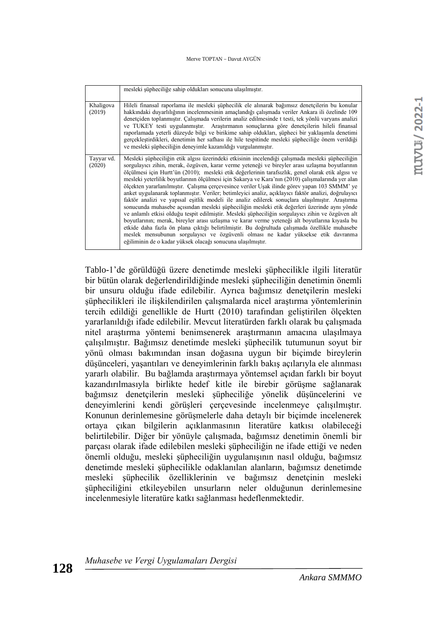#### Merve TOPTAN – Davut AYGÜN

|                      | mesleki şüpheciliğe sahip oldukları sonucuna ulaşılmıştır.                                                                                                                                                                                                                                                                                                                                                                                                                                                                                                                                                                                                                                                                                                                                                                                                                                                                                                                                                                                                                                                                                                                                                                                                                        |
|----------------------|-----------------------------------------------------------------------------------------------------------------------------------------------------------------------------------------------------------------------------------------------------------------------------------------------------------------------------------------------------------------------------------------------------------------------------------------------------------------------------------------------------------------------------------------------------------------------------------------------------------------------------------------------------------------------------------------------------------------------------------------------------------------------------------------------------------------------------------------------------------------------------------------------------------------------------------------------------------------------------------------------------------------------------------------------------------------------------------------------------------------------------------------------------------------------------------------------------------------------------------------------------------------------------------|
| Khaligova<br>(2019)  | Hileli finansal raporlama ile mesleki süphecilik ele alınarak bağımsız denetçilerin bu konular<br>hakkındaki duyarlılığının incelenmesinin amaçlandığı çalışmada veriler Ankara ili özelinde 109<br>denetçiden toplanmıştır. Çalışmada verilerin analiz edilmesinde t testi, tek yönlü varyans analizi<br>ve TUKEY testi uygulanmıştır. Araştırmanın sonuçlarına göre denetçilerin hileli finansal<br>raporlamada yeterli düzeyde bilgi ve birikime sahip oldukları, şüpheci bir yaklaşımla denetimi<br>gerçekleştirdikleri, denetimin her safhası ile hile tespitinde mesleki şüpheciliğe önem verildiği<br>ve mesleki şüpheciliğin deneyimle kazanıldığı vurgulanmıştır.                                                                                                                                                                                                                                                                                                                                                                                                                                                                                                                                                                                                        |
| Tayyar vd.<br>(2020) | Mesleki şüpheciliğin etik algısı üzerindeki etkisinin incelendiği çalışmada mesleki şüpheciliğin<br>sorgulayıcı zihin, merak, özgüven, karar verme yeteneği ve bireyler arası uzlaşma boyutlarının<br>ölçülmesi için Hurtt'ün (2010); mesleki etik değerlerinin tarafsızlık, genel olarak etik algısı ve<br>mesleki yeterlilik boyutlarının ölçülmesi için Sakarya ve Kara'nın (2010) çalışmalarında yer alan<br>ölçekten yararlanılmıştır. Çalışma çerçevesince veriler Uşak ilinde görev yapan 103 SMMM'ye<br>anket uygulanarak toplanmıştır. Veriler; betimleyici analiz, açıklayıcı faktör analizi, doğrulayıcı<br>faktör analizi ve yapısal eşitlik modeli ile analiz edilerek sonuçlara ulaşılmıştır. Araştırma<br>sonucunda muhasebe açısından mesleki şüpheciliğin mesleki etik değerleri üzerinde aynı yönde<br>ve anlamlı etkisi olduğu tespit edilmiştir. Mesleki şüpheciliğin sorgulayıcı zihin ve özgüven alt<br>boyutlarının; merak, bireyler arası uzlasma ve karar verme yeteneği alt boyutlarına kıyasla bu<br>etkide daha fazla ön plana çıktığı belirtilmiştir. Bu doğrultuda çalışmada özellikle muhasebe<br>meslek mensubunun sorgulayıcı ve özgüvenli olması ne kadar yüksekse etik davranma<br>eğiliminin de o kadar yüksek olacağı sonucuna ulaşılmıştır. |

Tablo-1'de görüldüğü üzere denetimde mesleki şüphecilikle ilgili literatür bir bütün olarak değerlendirildiğinde mesleki şüpheciliğin denetimin önemli bir unsuru olduğu ifade edilebilir. Ayrıca bağımsız denetçilerin mesleki şüphecilikleri ile ilişkilendirilen çalışmalarda nicel araştırma yöntemlerinin tercih edildiği genellikle de Hurtt (2010) tarafından geliştirilen ölçekten yararlanıldığı ifade edilebilir. Mevcut literatürden farklı olarak bu çalışmada nitel araştırma yöntemi benimsenerek araştırmanın amacına ulaşılmaya çalışılmıştır. Bağımsız denetimde mesleki şüphecilik tutumunun soyut bir yönü olması bakımından insan doğasına uygun bir biçimde bireylerin düşünceleri, yaşantıları ve deneyimlerinin farklı bakış açılarıyla ele alınması yararlı olabilir. Bu bağlamda araştırmaya yöntemsel açıdan farklı bir boyut kazandırılmasıyla birlikte hedef kitle ile birebir görüşme sağlanarak bağımsız denetçilerin mesleki şüpheciliğe yönelik düşüncelerini ve deneyimlerini kendi görüşleri çerçevesinde incelenmeye çalışılmıştır. Konunun derinlemesine görüşmelerle daha detaylı bir biçimde incelenerek ortaya çıkan bilgilerin açıklanmasının literatüre katkısı olabileceği belirtilebilir. Diğer bir yönüyle çalışmada, bağımsız denetimin önemli bir parçası olarak ifade edilebilen mesleki şüpheciliğin ne ifade ettiği ve neden önemli olduğu, mesleki şüpheciliğin uygulanışının nasıl olduğu, bağımsız denetimde mesleki şüphecilikle odaklanılan alanların, bağımsız denetimde mesleki şüphecilik özelliklerinin ve bağımsız denetçinin mesleki şüpheciliğini etkileyebilen unsurların neler olduğunun derinlemesine incelenmesiyle literatüre katkı sağlanması hedeflenmektedir.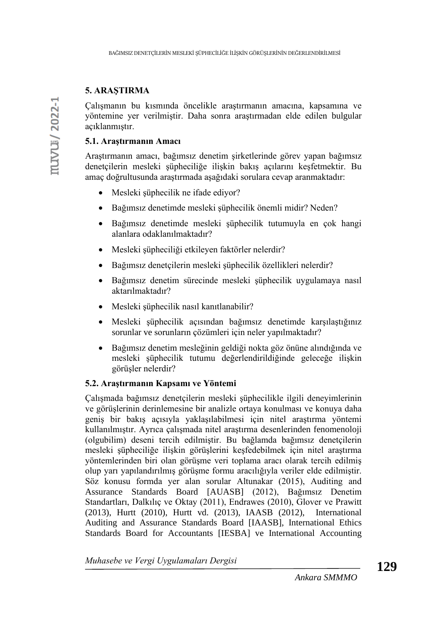### **5. ARAŞTIRMA**

Çalışmanın bu kısmında öncelikle araştırmanın amacına, kapsamına ve yöntemine yer verilmiştir. Daha sonra araştırmadan elde edilen bulgular açıklanmıştır.

### **5.1. Araştırmanın Amacı**

Araştırmanın amacı, bağımsız denetim şirketlerinde görev yapan bağımsız denetçilerin mesleki şüpheciliğe ilişkin bakış açılarını keşfetmektir. Bu amaç doğrultusunda araştırmada aşağıdaki sorulara cevap aranmaktadır:

- Mesleki şüphecilik ne ifade ediyor?
- Bağımsız denetimde mesleki şüphecilik önemli midir? Neden?
- Bağımsız denetimde mesleki şüphecilik tutumuyla en çok hangi alanlara odaklanılmaktadır?
- Mesleki şüpheciliği etkileyen faktörler nelerdir?
- Bağımsız denetçilerin mesleki şüphecilik özellikleri nelerdir?
- Bağımsız denetim sürecinde mesleki şüphecilik uygulamaya nasıl aktarılmaktadır?
- Mesleki şüphecilik nasıl kanıtlanabilir?
- Mesleki şüphecilik açısından bağımsız denetimde karşılaştığınız sorunlar ve sorunların çözümleri için neler yapılmaktadır?
- Bağımsız denetim mesleğinin geldiği nokta göz önüne alındığında ve mesleki şüphecilik tutumu değerlendirildiğinde geleceğe ilişkin görüşler nelerdir?

### **5.2. Araştırmanın Kapsamı ve Yöntemi**

Çalışmada bağımsız denetçilerin mesleki şüphecilikle ilgili deneyimlerinin ve görüşlerinin derinlemesine bir analizle ortaya konulması ve konuya daha geniş bir bakış açısıyla yaklaşılabilmesi için nitel araştırma yöntemi kullanılmıştır. Ayrıca çalışmada nitel araştırma desenlerinden fenomenoloji (olgubilim) deseni tercih edilmiştir. Bu bağlamda bağımsız denetçilerin mesleki şüpheciliğe ilişkin görüşlerini keşfedebilmek için nitel araştırma yöntemlerinden biri olan görüşme veri toplama aracı olarak tercih edilmiş olup yarı yapılandırılmış görüşme formu aracılığıyla veriler elde edilmiştir. Söz konusu formda yer alan sorular Altunakar (2015), Auditing and Assurance Standards Board [AUASB] (2012), Bağımsız Denetim Standartları, Dalkılıç ve Oktay (2011), Endrawes (2010), Glover ve Prawitt (2013), Hurtt (2010), Hurtt vd. (2013), IAASB (2012), International Auditing and Assurance Standards Board [IAASB], International Ethics Standards Board for Accountants [IESBA] ve International Accounting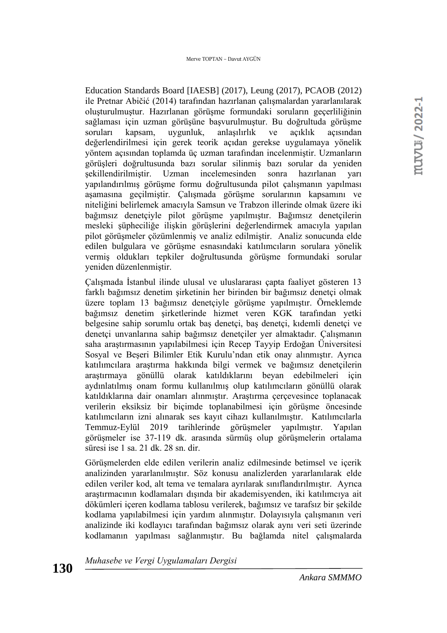Education Standards Board [IAESB] (2017), Leung (2017), PCAOB (2012) ile Pretnar Abičić (2014) tarafından hazırlanan çalışmalardan yararlanılarak oluşturulmuştur. Hazırlanan görüşme formundaki soruların geçerliliğinin sağlaması için uzman görüşüne başvurulmuştur. Bu doğrultuda görüşme soruları kapsam, uygunluk, anlaşılırlık ve açıklık açısından değerlendirilmesi için gerek teorik açıdan gerekse uygulamaya yönelik yöntem açısından toplamda üç uzman tarafından incelenmiştir. Uzmanların görüşleri doğrultusunda bazı sorular silinmiş bazı sorular da yeniden şekillendirilmiştir. Uzman incelemesinden sonra hazırlanan yarı yapılandırılmış görüşme formu doğrultusunda pilot çalışmanın yapılması aşamasına geçilmiştir. Çalışmada görüşme sorularının kapsamını ve niteliğini belirlemek amacıyla Samsun ve Trabzon illerinde olmak üzere iki bağımsız denetçiyle pilot görüşme yapılmıştır. Bağımsız denetçilerin mesleki şüpheciliğe ilişkin görüşlerini değerlendirmek amacıyla yapılan pilot görüşmeler çözümlenmiş ve analiz edilmiştir. Analiz sonucunda elde edilen bulgulara ve görüşme esnasındaki katılımcıların sorulara yönelik vermiş oldukları tepkiler doğrultusunda görüşme formundaki sorular yeniden düzenlenmiştir.

Çalışmada İstanbul ilinde ulusal ve uluslararası çapta faaliyet gösteren 13 farklı bağımsız denetim şirketinin her birinden bir bağımsız denetçi olmak üzere toplam 13 bağımsız denetçiyle görüşme yapılmıştır. Örneklemde bağımsız denetim şirketlerinde hizmet veren KGK tarafından yetki belgesine sahip sorumlu ortak baş denetçi, baş denetçi, kıdemli denetçi ve denetçi unvanlarına sahip bağımsız denetçiler yer almaktadır. Çalışmanın saha araştırmasının yapılabilmesi için Recep Tayyip Erdoğan Üniversitesi Sosyal ve Beşeri Bilimler Etik Kurulu'ndan etik onay alınmıştır. Ayrıca katılımcılara araştırma hakkında bilgi vermek ve bağımsız denetçilerin araştırmaya gönüllü olarak katıldıklarını beyan edebilmeleri için aydınlatılmış onam formu kullanılmış olup katılımcıların gönüllü olarak katıldıklarına dair onamları alınmıştır. Araştırma çerçevesince toplanacak verilerin eksiksiz bir biçimde toplanabilmesi için görüşme öncesinde katılımcıların izni alınarak ses kayıt cihazı kullanılmıştır. Katılımcılarla Temmuz-Eylül 2019 tarihlerinde görüşmeler yapılmıştır. Yapılan görüşmeler ise 37-119 dk. arasında sürmüş olup görüşmelerin ortalama süresi ise 1 sa. 21 dk. 28 sn. dir.

Görüşmelerden elde edilen verilerin analiz edilmesinde betimsel ve içerik analizinden yararlanılmıştır. Söz konusu analizlerden yararlanılarak elde edilen veriler kod, alt tema ve temalara ayrılarak sınıflandırılmıştır. Ayrıca araştırmacının kodlamaları dışında bir akademisyenden, iki katılımcıya ait dökümleri içeren kodlama tablosu verilerek, bağımsız ve tarafsız bir şekilde kodlama yapılabilmesi için yardım alınmıştır. Dolayısıyla çalışmanın veri analizinde iki kodlayıcı tarafından bağımsız olarak aynı veri seti üzerinde kodlamanın yapılması sağlanmıştır. Bu bağlamda nitel çalışmalarda

*Muhasebe ve Vergi Uygulamaları Dergisi*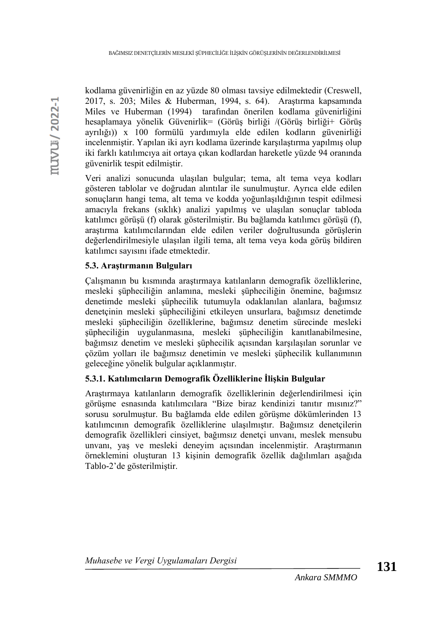kodlama güvenirliğin en az yüzde 80 olması tavsiye edilmektedir (Creswell, 2017, s. 203; Miles & Huberman, 1994, s. 64). Araştırma kapsamında Miles ve Huberman (1994) tarafından önerilen kodlama güvenirliğini hesaplamaya yönelik Güvenirlik= (Görüş birliği /(Görüş birliği+ Görüş ayrılığı)) x 100 formülü yardımıyla elde edilen kodların güvenirliği incelenmiştir. Yapılan iki ayrı kodlama üzerinde karşılaştırma yapılmış olup iki farklı katılımcıya ait ortaya çıkan kodlardan hareketle yüzde 94 oranında güvenirlik tespit edilmiştir.

Veri analizi sonucunda ulaşılan bulgular; tema, alt tema veya kodları gösteren tablolar ve doğrudan alıntılar ile sunulmuştur. Ayrıca elde edilen sonuçların hangi tema, alt tema ve kodda yoğunlaşıldığının tespit edilmesi amacıyla frekans (sıklık) analizi yapılmış ve ulaşılan sonuçlar tabloda katılımcı görüşü (f) olarak gösterilmiştir. Bu bağlamda katılımcı görüşü (f), araştırma katılımcılarından elde edilen veriler doğrultusunda görüşlerin değerlendirilmesiyle ulaşılan ilgili tema, alt tema veya koda görüş bildiren katılımcı sayısını ifade etmektedir.

# **5.3. Araştırmanın Bulguları**

Çalışmanın bu kısmında araştırmaya katılanların demografik özelliklerine, mesleki şüpheciliğin anlamına, mesleki şüpheciliğin önemine, bağımsız denetimde mesleki şüphecilik tutumuyla odaklanılan alanlara, bağımsız denetçinin mesleki şüpheciliğini etkileyen unsurlara, bağımsız denetimde mesleki şüpheciliğin özelliklerine, bağımsız denetim sürecinde mesleki şüpheciliğin uygulanmasına, mesleki şüpheciliğin kanıtlanabilmesine, bağımsız denetim ve mesleki şüphecilik açısından karşılaşılan sorunlar ve çözüm yolları ile bağımsız denetimin ve mesleki şüphecilik kullanımının geleceğine yönelik bulgular açıklanmıştır.

# **5.3.1. Katılımcıların Demografik Özelliklerine İlişkin Bulgular**

Araştırmaya katılanların demografik özelliklerinin değerlendirilmesi için görüşme esnasında katılımcılara "Bize biraz kendinizi tanıtır mısınız?" sorusu sorulmuştur. Bu bağlamda elde edilen görüşme dökümlerinden 13 katılımcının demografik özelliklerine ulaşılmıştır. Bağımsız denetçilerin demografik özellikleri cinsiyet, bağımsız denetçi unvanı, meslek mensubu unvanı, yaş ve mesleki deneyim açısından incelenmiştir. Araştırmanın örneklemini oluşturan 13 kişinin demografik özellik dağılımları aşağıda Tablo-2'de gösterilmiştir.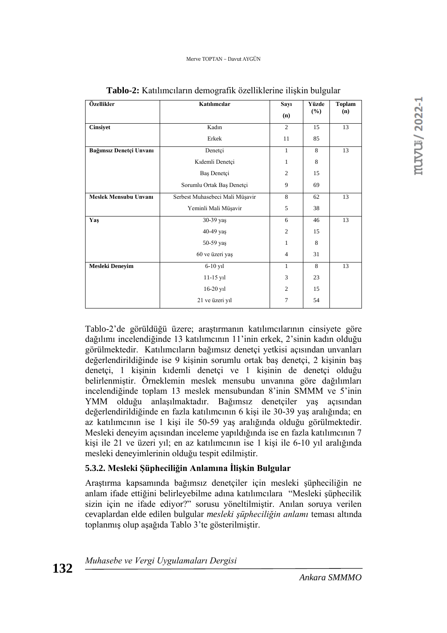| Özellikler                   | Katılımcılar                    | Sayı<br>(n)    | Yüzde<br>(%) | <b>Toplam</b><br>(n) |
|------------------------------|---------------------------------|----------------|--------------|----------------------|
| <b>Cinsiyet</b>              | Kadın                           | $\overline{2}$ | 15           | 13                   |
|                              | Erkek                           | 11             | 85           |                      |
| Bağımsız Denetçi Unvanı      | Denetçi                         | $\mathbf{1}$   | 8            | 13                   |
|                              | Kıdemli Denetçi                 | 1              | 8            |                      |
|                              | Baş Denetçi                     | $\overline{c}$ | 15           |                      |
|                              | Sorumlu Ortak Baş Denetçi       | 9              | 69           |                      |
| <b>Meslek Mensubu Unvanı</b> | Serbest Muhasebeci Mali Müşavir | 8              | 62           | 13                   |
|                              | Yeminli Mali Müşavir            | 5              | 38           |                      |
| Yaş                          | 30-39 yaş                       | 6              | 46           | 13                   |
|                              | 40-49 yaş                       | $\overline{2}$ | 15           |                      |
|                              | 50-59 yaş                       | 1              | 8            |                      |
|                              | 60 ve üzeri yaş                 | $\overline{4}$ | 31           |                      |
| Mesleki Deneyim              | $6-10$ y <sub>1</sub>           | 1              | 8            | 13                   |
|                              | 11-15 yil                       | 3              | 23           |                      |
|                              | 16-20 yil                       | $\overline{c}$ | 15           |                      |
|                              | 21 ve üzeri yıl                 | 7              | 54           |                      |

**Tablo-2:** Katılımcıların demografik özelliklerine ilişkin bulgular

Tablo-2'de görüldüğü üzere; araştırmanın katılımcılarının cinsiyete göre dağılımı incelendiğinde 13 katılımcının 11'inin erkek, 2'sinin kadın olduğu görülmektedir. Katılımcıların bağımsız denetçi yetkisi açısından unvanları değerlendirildiğinde ise 9 kişinin sorumlu ortak baş denetçi, 2 kişinin baş denetçi, 1 kişinin kıdemli denetçi ve 1 kişinin de denetçi olduğu belirlenmiştir. Örneklemin meslek mensubu unvanına göre dağılımları incelendiğinde toplam 13 meslek mensubundan 8'inin SMMM ve 5'inin YMM olduğu anlaşılmaktadır. Bağımsız denetçiler yaş açısından değerlendirildiğinde en fazla katılımcının 6 kişi ile 30-39 yaş aralığında; en az katılımcının ise 1 kişi ile 50-59 yaş aralığında olduğu görülmektedir. Mesleki deneyim açısından inceleme yapıldığında ise en fazla katılımcının 7 kişi ile 21 ve üzeri yıl; en az katılımcının ise 1 kişi ile 6-10 yıl aralığında mesleki deneyimlerinin olduğu tespit edilmiştir.

# **5.3.2. Mesleki Şüpheciliğin Anlamına İlişkin Bulgular**

Araştırma kapsamında bağımsız denetçiler için mesleki şüpheciliğin ne anlam ifade ettiğini belirleyebilme adına katılımcılara "Mesleki şüphecilik sizin için ne ifade ediyor?" sorusu yöneltilmiştir. Anılan soruya verilen cevaplardan elde edilen bulgular *mesleki şüpheciliğin anlamı* teması altında toplanmış olup aşağıda Tablo 3'te gösterilmiştir.

| Muhasebe ve Vergi Uygulamaları Dergisi |  |  |
|----------------------------------------|--|--|
|                                        |  |  |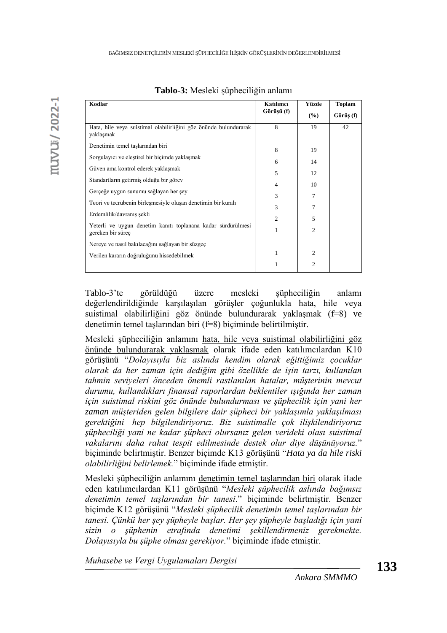| Kodlar                                                                            | Katılımcı      | Yüzde          | <b>Toplam</b> |
|-----------------------------------------------------------------------------------|----------------|----------------|---------------|
|                                                                                   | Görüşü (f)     | (%)            | Görüş (f)     |
| Hata, hile veya suistimal olabilirliğini göz önünde bulundurarak<br>yaklaşmak     | 8              | 19             | 42            |
| Denetimin temel taşlarından biri                                                  | 8              | 19             |               |
| Sorgulayıcı ve eleştirel bir biçimde yaklaşmak                                    | 6              | 14             |               |
| Güven ama kontrol ederek yaklaşmak                                                | 5              | 12             |               |
| Standartların getirmiş olduğu bir görev                                           | 4              | 10             |               |
| Gerçeğe uygun sunumu sağlayan her şey                                             | 3              | 7              |               |
| Teori ve tecrübenin birleşmesiyle oluşan denetimin bir kuralı                     | 3              | 7              |               |
| Erdemlilik/davranış şekli                                                         | $\overline{c}$ | 5              |               |
| Yeterli ve uygun denetim kanıtı toplanana kadar sürdürülmesi<br>gereken bir süreç | 1              | $\overline{2}$ |               |
| Nereye ve nasıl bakılacağını sağlayan bir süzgeç                                  |                |                |               |
| Verilen kararın doğruluğunu hissedebilmek                                         | 1              | $\overline{c}$ |               |
|                                                                                   | 1              | $\overline{2}$ |               |

**Tablo-3:** Mesleki şüpheciliğin anlamı

Tablo-3'te görüldüğü üzere mesleki şüpheciliğin anlamı değerlendirildiğinde karşılaşılan görüşler çoğunlukla hata, hile veya suistimal olabilirliğini göz önünde bulundurarak yaklaşmak (f=8) ve denetimin temel taşlarından biri (f=8) biçiminde belirtilmiştir.

Mesleki şüpheciliğin anlamını hata, hile veya suistimal olabilirliğini göz önünde bulundurarak yaklaşmak olarak ifade eden katılımcılardan K10 görüşünü "*Dolayısıyla biz aslında kendim olarak eğittiğimiz çocuklar olarak da her zaman için dediğim gibi özellikle de işin tarzı, kullanılan tahmin seviyeleri önceden önemli rastlanılan hatalar, müşterinin mevcut durumu, kullandıkları finansal raporlardan beklentiler ışığında her zaman için suistimal riskini göz önünde bulundurması ve şüphecilik için yani her zaman müşteriden gelen bilgilere dair şüpheci bir yaklaşımla yaklaşılması gerektiğini hep bilgilendiriyoruz. Biz suistimalle çok ilişkilendiriyoruz şüpheciliği yani ne kadar şüpheci olursanız gelen verideki olası suistimal vakalarını daha rahat tespit edilmesinde destek olur diye düşünüyoruz.*" biçiminde belirtmiştir. Benzer biçimde K13 görüşünü "*Hata ya da hile riski olabilirliğini belirlemek.*" biçiminde ifade etmiştir.

Mesleki şüpheciliğin anlamını denetimin temel taşlarından biri olarak ifade eden katılımcılardan K11 görüşünü "*Mesleki şüphecilik aslında bağımsız denetimin temel taşlarından bir tanesi*." biçiminde belirtmiştir. Benzer biçimde K12 görüşünü "*Mesleki şüphecilik denetimin temel taşlarından bir tanesi. Çünkü her şey şüpheyle başlar. Her şey şüpheyle başladığı için yani sizin o şüphenin etrafında denetimi şekillendirmeniz gerekmekte. Dolayısıyla bu şüphe olması gerekiyor.*" biçiminde ifade etmiştir.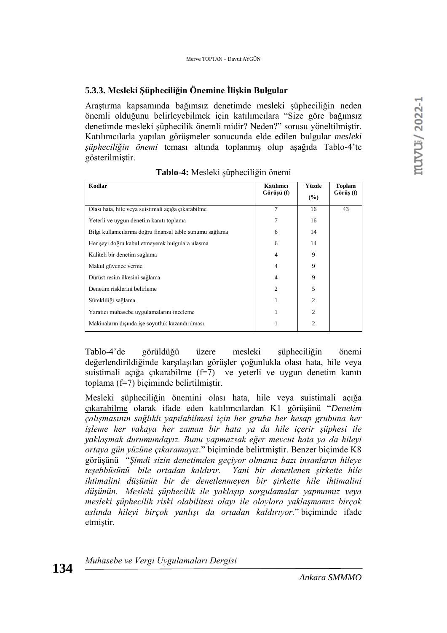#### **5.3.3. Mesleki Şüpheciliğin Önemine İlişkin Bulgular**

Araştırma kapsamında bağımsız denetimde mesleki şüpheciliğin neden önemli olduğunu belirleyebilmek için katılımcılara "Size göre bağımsız denetimde mesleki şüphecilik önemli midir? Neden?" sorusu yöneltilmiştir. Katılımcılarla yapılan görüşmeler sonucunda elde edilen bulgular *mesleki şüpheciliğin önemi* teması altında toplanmış olup aşağıda Tablo-4'te gösterilmiştir.

| Kodlar                                                    | Katılımcı<br>Görüşü (f) | Yüzde<br>(%)   | <b>Toplam</b><br>Görüş (f) |
|-----------------------------------------------------------|-------------------------|----------------|----------------------------|
| Olası hata, hile veya suistimali açığa çıkarabilme        | $\overline{7}$          | 16             | 43                         |
| Yeterli ve uygun denetim kanıtı toplama                   | 7                       | 16             |                            |
| Bilgi kullanıcılarına doğru finansal tablo sunumu sağlama | 6                       | 14             |                            |
| Her şeyi doğru kabul etmeyerek bulgulara ulaşma           | 6                       | 14             |                            |
| Kaliteli bir denetim sağlama                              | 4                       | 9              |                            |
| Makul güvence verme                                       | 4                       | 9              |                            |
| Dürüst resim ilkesini sağlama                             | 4                       | 9              |                            |
| Denetim risklerini belirleme                              | $\mathfrak{D}$          | 5              |                            |
| Sürekliliği sağlama                                       |                         | $\overline{c}$ |                            |
| Yaratıcı muhasebe uygulamalarını inceleme                 |                         | $\overline{2}$ |                            |
| Makinaların dışında işe soyutluk kazandırılması           |                         | $\overline{c}$ |                            |

**Tablo-4:** Mesleki şüpheciliğin önemi

Tablo-4'de görüldüğü üzere mesleki şüpheciliğin önemi değerlendirildiğinde karşılaşılan görüşler çoğunlukla olası hata, hile veya suistimali açığa çıkarabilme (f=7) ve yeterli ve uygun denetim kanıtı toplama (f=7) biçiminde belirtilmiştir.

Mesleki şüpheciliğin önemini olası hata, hile veya suistimali açığa çıkarabilme olarak ifade eden katılımcılardan K1 görüşünü "*Denetim çalışmasının sağlıklı yapılabilmesi için her gruba her hesap grubuna her işleme her vakaya her zaman bir hata ya da hile içerir şüphesi ile yaklaşmak durumundayız. Bunu yapmazsak eğer mevcut hata ya da hileyi ortaya gün yüzüne çıkaramayız*." biçiminde belirtmiştir. Benzer biçimde K8 görüşünü "*Şimdi sizin denetimden geçiyor olmanız bazı insanların hileye teşebbüsünü bile ortadan kaldırır. Yani bir denetlenen şirkette hile ihtimalini düşünün bir de denetlenmeyen bir şirkette hile ihtimalini düşünün. Mesleki şüphecilik ile yaklaşıp sorgulamalar yapmamız veya mesleki şüphecilik riski olabilitesi olayı ile olaylara yaklaşmamız birçok aslında hileyi birçok yanlışı da ortadan kaldırıyor.*" biçiminde ifade etmiştir.

*Muhasebe ve Vergi Uygulamaları Dergisi*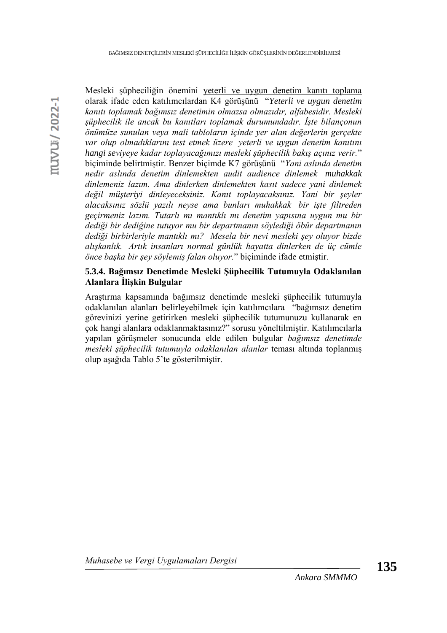Mesleki şüpheciliğin önemini yeterli ve uygun denetim kanıtı toplama olarak ifade eden katılımcılardan K4 görüşünü "*Yeterli ve uygun denetim kanıtı toplamak bağımsız denetimin olmazsa olmazıdır, alfabesidir. Mesleki şüphecilik ile ancak bu kanıtları toplamak durumundadır. İşte bilançonun önümüze sunulan veya mali tabloların içinde yer alan değerlerin gerçekte var olup olmadıklarını test etmek üzere yeterli ve uygun denetim kanıtını hangi seviyeye kadar toplayacağımızı mesleki şüphecilik bakış açınız verir.*" biçiminde belirtmiştir. Benzer biçimde K7 görüşünü "*Yani aslında denetim nedir aslında denetim dinlemekten audit audience dinlemek muhakkak dinlemeniz lazım. Ama dinlerken dinlemekten kasıt sadece yani dinlemek değil müşteriyi dinleyeceksiniz. Kanıt toplayacaksınız. Yani bir şeyler alacaksınız sözlü yazılı neyse ama bunları muhakkak bir işte filtreden geçirmeniz lazım. Tutarlı mı mantıklı mı denetim yapısına uygun mu bir dediği bir dediğine tutuyor mu bir departmanın söylediği öbür departmanın dediği birbirleriyle mantıklı mı? Mesela bir nevi mesleki şey oluyor bizde alışkanlık. Artık insanları normal günlük hayatta dinlerken de üç cümle önce başka bir şey söylemiş falan oluyor.*" biçiminde ifade etmiştir.

## **5.3.4. Bağımsız Denetimde Mesleki Şüphecilik Tutumuyla Odaklanılan Alanlara İlişkin Bulgular**

Araştırma kapsamında bağımsız denetimde mesleki şüphecilik tutumuyla odaklanılan alanları belirleyebilmek için katılımcılara "bağımsız denetim görevinizi yerine getirirken mesleki şüphecilik tutumunuzu kullanarak en çok hangi alanlara odaklanmaktasınız?" sorusu yöneltilmiştir. Katılımcılarla yapılan görüşmeler sonucunda elde edilen bulgular *bağımsız denetimde mesleki şüphecilik tutumuyla odaklanılan alanlar* teması altında toplanmış olup aşağıda Tablo 5'te gösterilmiştir.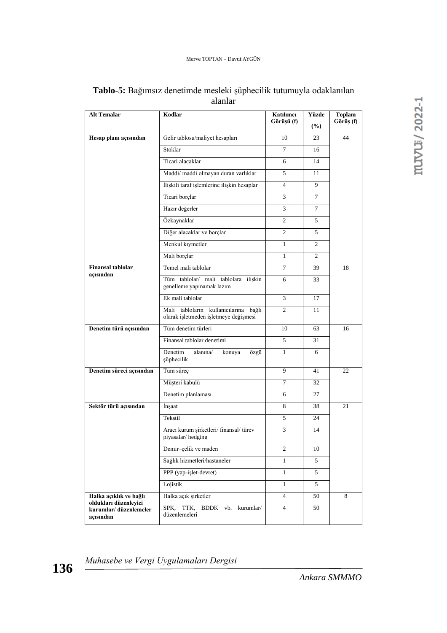| <b>Alt Temalar</b>                                          | Kodlar                                                                         | Katılımcı<br>Görüşü (f) | Yüzde<br>(%)   | <b>Toplam</b><br>Görüş (f) |
|-------------------------------------------------------------|--------------------------------------------------------------------------------|-------------------------|----------------|----------------------------|
| Hesap planı açısından                                       | Gelir tablosu/maliyet hesapları                                                | 10                      | 23             | 44                         |
|                                                             | Stoklar                                                                        | 7                       | 16             |                            |
|                                                             | Ticari alacaklar                                                               | 6                       | 14             |                            |
|                                                             | Maddi/ maddi olmayan duran varlıklar                                           | 5                       | 11             |                            |
|                                                             | İlişkili taraf işlemlerine ilişkin hesaplar                                    | 4                       | 9              |                            |
|                                                             | Ticari borçlar                                                                 | 3                       | $\tau$         |                            |
|                                                             | Hazır değerler                                                                 | 3                       | 7              |                            |
|                                                             | Özkaynaklar                                                                    | 2                       | 5              |                            |
|                                                             | Diğer alacaklar ve borçlar                                                     | $\overline{2}$          | 5              |                            |
|                                                             | Menkul kıymetler                                                               | 1                       | 2              |                            |
|                                                             | Mali borçlar                                                                   | $\mathbf{1}$            | $\overline{2}$ |                            |
| <b>Finansal</b> tablolar                                    | Temel mali tablolar                                                            | $\tau$                  | 39             | 18                         |
| açısından                                                   | Tüm tablolar/ mali tablolara ilişkin<br>genelleme yapmamak lazım               | 6                       | 33             |                            |
|                                                             | Ek mali tablolar                                                               | 3                       | 17             |                            |
|                                                             | Mali tabloların kullanıcılarına bağlı<br>olarak işletmeden işletmeye değişmesi | $\overline{c}$          | 11             |                            |
| Denetim türü açısından                                      | Tüm denetim türleri                                                            | 10                      | 63             | 16                         |
|                                                             | Finansal tablolar denetimi                                                     | 5                       | 31             |                            |
|                                                             | Denetim<br>alanına/<br>konuya<br>özgü<br>şüphecilik                            | 1                       | 6              |                            |
| Denetim süreci açısından                                    | Tüm süreç                                                                      | 9                       | 41             | 22                         |
|                                                             | Müşteri kabulü                                                                 | 7                       | 32             |                            |
|                                                             | Denetim planlaması                                                             | 6                       | 27             |                            |
| Sektör türü açısından                                       | Insaat                                                                         | 8                       | 38             | 21                         |
|                                                             | Tekstil                                                                        | 5                       | 24             |                            |
|                                                             | Aracı kurum şirketleri/ finansal/ türev<br>piyasalar/hedging                   | 3                       | 14             |                            |
|                                                             | Demir-çelik ve maden                                                           | $\sqrt{2}$              | 10             |                            |
|                                                             | Sağlık hizmetleri/hastaneler                                                   | 1                       | 5              |                            |
|                                                             | PPP (yap-işlet-devret)                                                         | $\mathbf{1}$            | 5              |                            |
|                                                             | Lojistik                                                                       | $\mathbf{1}$            | 5              |                            |
| Halka açıklık ve bağlı                                      | Halka açık şirketler                                                           | $\overline{4}$          | 50             | 8                          |
| oldukları düzenleyici<br>kurumlar/düzenlemeler<br>acısından | SPK, TTK,<br><b>BDDK</b><br>vb.<br>kurumlar/<br>düzenlemeleri                  | $\overline{4}$          | 50             |                            |

# **Tablo-5:** Bağımsız denetimde mesleki şüphecilik tutumuyla odaklanılan alanlar

*Muhasebe ve Vergi Uygulamaları Dergisi*

*Ankara SMMMO*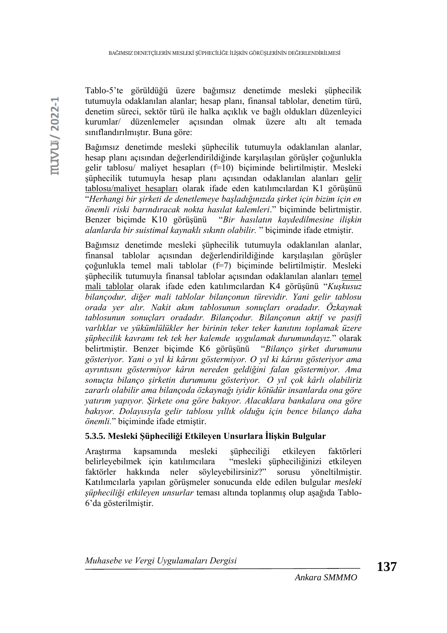Tablo-5'te görüldüğü üzere bağımsız denetimde mesleki şüphecilik tutumuyla odaklanılan alanlar; hesap planı, finansal tablolar, denetim türü, denetim süreci, sektör türü ile halka açıklık ve bağlı oldukları düzenleyici kurumlar/ düzenlemeler açısından olmak üzere altı alt temada sınıflandırılmıştır. Buna göre:

Bağımsız denetimde mesleki şüphecilik tutumuyla odaklanılan alanlar, hesap planı açısından değerlendirildiğinde karşılaşılan görüşler çoğunlukla gelir tablosu/ maliyet hesapları (f=10) biçiminde belirtilmiştir. Mesleki şüphecilik tutumuyla hesap planı açısından odaklanılan alanları gelir tablosu/maliyet hesapları olarak ifade eden katılımcılardan K1 görüşünü "*Herhangi bir şirketi de denetlemeye başladığınızda şirket için bizim için en önemli riski barındıracak nokta hasılat kalemleri*." biçiminde belirtmiştir. Benzer biçimde K10 görüşünü "*Bir hasılatın kaydedilmesine ilişkin alanlarda bir suistimal kaynaklı sıkıntı olabilir.* " biçiminde ifade etmiştir.

Bağımsız denetimde mesleki şüphecilik tutumuyla odaklanılan alanlar, finansal tablolar açısından değerlendirildiğinde karşılaşılan görüşler çoğunlukla temel mali tablolar (f=7) biçiminde belirtilmiştir. Mesleki şüphecilik tutumuyla finansal tablolar açısından odaklanılan alanları temel mali tablolar olarak ifade eden katılımcılardan K4 görüşünü "*Kuşkusuz bilançodur, diğer mali tablolar bilançonun türevidir. Yani gelir tablosu orada yer alır. Nakit akım tablosunun sonuçları oradadır. Özkaynak tablosunun sonuçları oradadır. Bilançodur. Bilançonun aktif ve pasifi varlıklar ve yükümlülükler her birinin teker teker kanıtını toplamak üzere şüphecilik kavramı tek tek her kalemde uygulamak durumundayız.*" olarak belirtmiştir. Benzer biçimde K6 görüşünü "*Bilanço şirket durumunu gösteriyor. Yani o yıl ki kârını göstermiyor. O yıl ki kârını gösteriyor ama ayrıntısını göstermiyor kârın nereden geldiğini falan göstermiyor. Ama sonuçta bilanço şirketin durumunu gösteriyor. O yıl çok kârlı olabiliriz zararlı olabilir ama bilançoda özkaynağı iyidir kötüdür insanlarda ona göre yatırım yapıyor. Şirkete ona göre bakıyor. Alacaklara bankalara ona göre bakıyor. Dolayısıyla gelir tablosu yıllık olduğu için bence bilanço daha önemli.*" biçiminde ifade etmiştir.

# **5.3.5. Mesleki Şüpheciliği Etkileyen Unsurlara İlişkin Bulgular**

Araştırma kapsamında mesleki şüpheciliği etkileyen faktörleri belirleyebilmek için katılımcılara "mesleki şüpheciliğinizi etkileyen faktörler hakkında neler söyleyebilirsiniz?" sorusu yöneltilmiştir. Katılımcılarla yapılan görüşmeler sonucunda elde edilen bulgular *mesleki şüpheciliği etkileyen unsurlar* teması altında toplanmış olup aşağıda Tablo-6'da gösterilmiştir.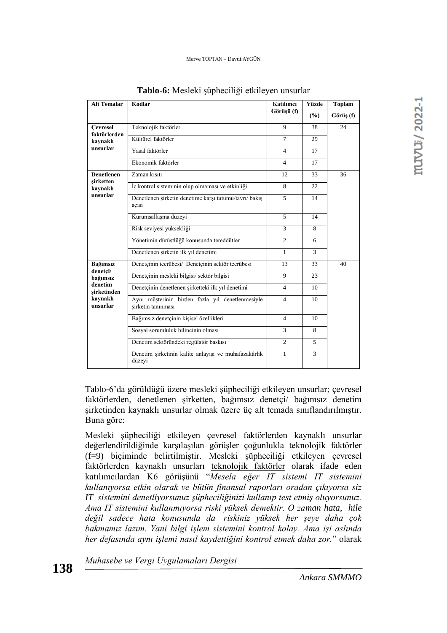| <b>Alt Temalar</b>              | Kodlar                                                                 | Katılımcı      | Yüzde         | <b>Toplam</b> |
|---------------------------------|------------------------------------------------------------------------|----------------|---------------|---------------|
|                                 |                                                                        | Görüsü (f)     | $\frac{9}{6}$ | Görüş (f)     |
| <b>Cevresel</b><br>faktörlerden | Teknolojik faktörler                                                   | 9              | 38            | 24            |
| kaynaklı                        | Kültürel faktörler                                                     | $\tau$         | 29            |               |
| unsurlar                        | Yasal faktörler                                                        | $\overline{4}$ | 17            |               |
|                                 | Ekonomik faktörler                                                     | $\overline{4}$ | 17            |               |
| <b>Denetlenen</b><br>sirketten  | Zaman kısıtı                                                           | 12             | 33            | 36            |
| kaynaklı                        | İç kontrol sisteminin olup olmaması ve etkinliği                       | 8              | 22            |               |
| unsurlar                        | Denetlenen şirketin denetime karşı tutumu/tavrı/ bakış<br>açısı        | 5              | 14            |               |
|                                 | Kurumsallaşma düzeyi                                                   | 5              | 14            |               |
|                                 | Risk seviyesi yüksekliği                                               | 3              | 8             |               |
|                                 | Yönetimin dürüstlüğü konusunda tereddütler                             | $\overline{c}$ | 6             |               |
|                                 | Denetlenen şirketin ilk yıl denetimi                                   | 1              | 3             |               |
| Bağımsız                        | Denetçinin tecrübesi/ Denetçinin sektör tecrübesi                      | 13             | 33            | 40            |
| denetçi/<br>bağımsız            | Denetçinin mesleki bilgisi/ sektör bilgisi                             | 9              | 23            |               |
| denetim<br>sirketinden          | Denetçinin denetlenen şirketteki ilk yıl denetimi                      | $\overline{4}$ | 10            |               |
| kaynaklı<br>unsurlar            | Aynı müşterinin birden fazla yıl denetlenmesiyle<br>sirketin tanınması | $\overline{4}$ | 10            |               |
|                                 | Bağımsız denetçinin kişisel özellikleri                                | $\overline{4}$ | 10            |               |
|                                 | Sosyal sorumluluk bilincinin olması                                    | 3              | 8             |               |
|                                 | Denetim sektöründeki regülatör baskısı                                 | $\overline{2}$ | 5             |               |
|                                 | Denetim şirketinin kalite anlayışı ve muhafazakârlık<br>düzeyi         | 1              | 3             |               |

**Tablo-6:** Mesleki şüpheciliği etkileyen unsurlar

Tablo-6'da görüldüğü üzere mesleki şüpheciliği etkileyen unsurlar; çevresel faktörlerden, denetlenen şirketten, bağımsız denetçi/ bağımsız denetim şirketinden kaynaklı unsurlar olmak üzere üç alt temada sınıflandırılmıştır. Buna göre:

Mesleki şüpheciliği etkileyen çevresel faktörlerden kaynaklı unsurlar değerlendirildiğinde karşılaşılan görüşler çoğunlukla teknolojik faktörler (f=9) biçiminde belirtilmiştir. Mesleki şüpheciliği etkileyen çevresel faktörlerden kaynaklı unsurları teknolojik faktörler olarak ifade eden katılımcılardan K6 görüşünü "*Mesela eğer IT sistemi IT sistemini kullanıyorsa etkin olarak ve bütün finansal raporları oradan çıkıyorsa siz IT sistemini denetliyorsunuz şüpheciliğinizi kullanıp test etmiş oluyorsunuz. Ama IT sistemini kullanmıyorsa riski yüksek demektir. O zaman hata, hile değil sadece hata konusunda da riskiniz yüksek her şeye daha çok bakmamız lazım. Yani bilgi işlem sistemini kontrol kolay. Ama işi aslında her defasında aynı işlemi nasıl kaydettiğini kontrol etmek daha zor.*" olarak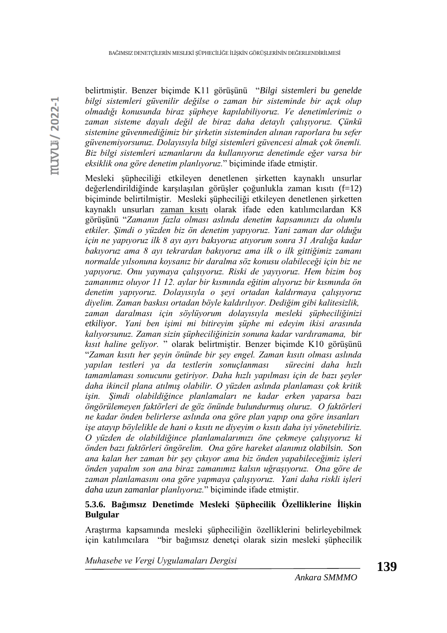muvu / 2022-1

belirtmiştir. Benzer biçimde K11 görüşünü "*Bilgi sistemleri bu genelde bilgi sistemleri güvenilir değilse o zaman bir sisteminde bir açık olup olmadığı konusunda biraz şüpheye kapılabiliyoruz. Ve denetimlerimiz o zaman sisteme dayalı değil de biraz daha detaylı çalışıyoruz. Çünkü sistemine güvenmediğimiz bir şirketin sisteminden alınan raporlara bu sefer güvenemiyorsunuz. Dolayısıyla bilgi sistemleri güvencesi almak çok önemli. Biz bilgi sistemleri uzmanlarını da kullanıyoruz denetimde eğer varsa bir eksiklik ona göre denetim planlıyoruz.*" biçiminde ifade etmiştir.

Mesleki şüpheciliği etkileyen denetlenen şirketten kaynaklı unsurlar değerlendirildiğinde karşılaşılan görüşler çoğunlukla zaman kısıtı (f=12) biçiminde belirtilmiştir. Mesleki şüpheciliği etkileyen denetlenen şirketten kaynaklı unsurları zaman kısıtı olarak ifade eden katılımcılardan K8 görüşünü "*Zamanın fazla olması aslında denetim kapsamınızı da olumlu etkiler. Şimdi o yüzden biz ön denetim yapıyoruz. Yani zaman dar olduğu için ne yapıyoruz ilk 8 ayı ayrı bakıyoruz atıyorum sonra 31 Aralığa kadar bakıyoruz ama 8 ayı tekrardan bakıyoruz ama ilk o ilk gittiğimiz zamanı normalde yılsonuna koysanız bir daralma söz konusu olabileceği için biz ne yapıyoruz. Onu yaymaya çalışıyoruz. Riski de yayıyoruz. Hem bizim boş zamanımız oluyor 11 12. aylar bir kısmında eğitim alıyoruz bir kısmında ön denetim yapıyoruz. Dolayısıyla o şeyi ortadan kaldırmaya çalışıyoruz diyelim. Zaman baskısı ortadan böyle kaldırılıyor. Dediğim gibi kalitesizlik, zaman daralması için söylüyorum dolayısıyla mesleki şüpheciliğinizi etkiliyor. Yani ben işimi mi bitireyim şüphe mi edeyim ikisi arasında kalıyorsunuz. Zaman sizin şüpheciliğinizin sonuna kadar vardıramama, bir kısıt haline geliyor.* " olarak belirtmiştir. Benzer biçimde K10 görüşünü "*Zaman kısıtı her şeyin önünde bir şey engel. Zaman kısıtı olması aslında yapılan testleri ya da testlerin sonuçlanması sürecini daha hızlı tamamlaması sonucunu getiriyor. Daha hızlı yapılması için de bazı şeyler daha ikincil plana atılmış olabilir. O yüzden aslında planlaması çok kritik işin. Şimdi olabildiğince planlamaları ne kadar erken yaparsa bazı öngörülemeyen faktörleri de göz önünde bulundurmuş oluruz. O faktörleri ne kadar önden belirlerse aslında ona göre plan yapıp ona göre insanları işe atayıp böylelikle de hani o kısıtı ne diyeyim o kısıtı daha iyi yönetebiliriz. O yüzden de olabildiğince planlamalarımızı öne çekmeye çalışıyoruz ki önden bazı faktörleri öngörelim. Ona göre hareket alanımız olabilsin. Son ana kalan her zaman bir şey çıkıyor ama biz önden yapabileceğimiz işleri önden yapalım son ana biraz zamanımız kalsın uğraşıyoruz. Ona göre de zaman planlamasını ona göre yapmaya çalışıyoruz. Yani daha riskli işleri daha uzun zamanlar planlıyoruz.*" biçiminde ifade etmiştir.

# **5.3.6. Bağımsız Denetimde Mesleki Şüphecilik Özelliklerine İlişkin Bulgular**

Araştırma kapsamında mesleki şüpheciliğin özelliklerini belirleyebilmek için katılımcılara "bir bağımsız denetçi olarak sizin mesleki şüphecilik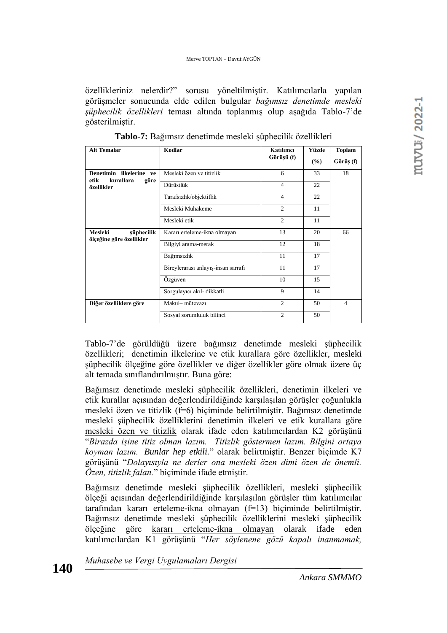özellikleriniz nelerdir?" sorusu yöneltilmiştir. Katılımcılarla yapılan görüşmeler sonucunda elde edilen bulgular *bağımsız denetimde mesleki şüphecilik özellikleri* teması altında toplanmış olup aşağıda Tablo-7'de gösterilmiştir.

| <b>Alt Temalar</b>                                   | Kodlar                              | Katılımcı      | Yüzde  | <b>Toplam</b>  |
|------------------------------------------------------|-------------------------------------|----------------|--------|----------------|
|                                                      |                                     | Görüşü (f)     | $($ %) | Görüş (f)      |
| Denetimin ilkelerine ve<br>kurallara<br>etik<br>göre | Mesleki özen ve titizlik            | 6              | 33     | 18             |
| özellikler                                           | Dürüstlük                           | $\overline{4}$ | 22     |                |
|                                                      | Tarafsızlık/objektiflik             | $\overline{4}$ | 22     |                |
|                                                      | Mesleki Muhakeme                    | $\overline{c}$ | 11     |                |
|                                                      | Mesleki etik                        | 2              | 11     |                |
| Mesleki<br>şüphecilik<br>ölçeğine göre özellikler    | Kararı erteleme-ikna olmayan        | 13             | 20     | 66             |
|                                                      | Bilgiyi arama-merak                 | 12             | 18     |                |
|                                                      | Bağımsızlık                         | 11             | 17     |                |
|                                                      | Bireylerarası anlayış-insan sarrafı | 11             | 17     |                |
|                                                      | Özgüven                             | 10             | 15     |                |
|                                                      | Sorgulayıcı akıl- dikkatli          | 9              | 14     |                |
| Diğer özelliklere göre                               | Makul-mütevazı                      | $\overline{c}$ | 50     | $\overline{4}$ |
|                                                      | Sosyal sorumluluk bilinci           | 2              | 50     |                |

**Tablo-7:** Bağımsız denetimde mesleki şüphecilik özellikleri

Tablo-7'de görüldüğü üzere bağımsız denetimde mesleki şüphecilik özellikleri; denetimin ilkelerine ve etik kurallara göre özellikler, mesleki şüphecilik ölçeğine göre özellikler ve diğer özellikler göre olmak üzere üç alt temada sınıflandırılmıştır. Buna göre:

Bağımsız denetimde mesleki şüphecilik özellikleri, denetimin ilkeleri ve etik kurallar açısından değerlendirildiğinde karşılaşılan görüşler çoğunlukla mesleki özen ve titizlik (f=6) biçiminde belirtilmiştir. Bağımsız denetimde mesleki şüphecilik özelliklerini denetimin ilkeleri ve etik kurallara göre mesleki özen ve titizlik olarak ifade eden katılımcılardan K2 görüşünü "*Birazda işine titiz olman lazım. Titizlik göstermen lazım. Bilgini ortaya koyman lazım. Bunlar hep etkili.*" olarak belirtmiştir. Benzer biçimde K7 görüşünü "*Dolayısıyla ne derler ona mesleki özen dimi özen de önemli. Özen, titizlik falan.*" biçiminde ifade etmiştir.

Bağımsız denetimde mesleki şüphecilik özellikleri, mesleki şüphecilik ölçeği açısından değerlendirildiğinde karşılaşılan görüşler tüm katılımcılar tarafından kararı erteleme-ikna olmayan (f=13) biçiminde belirtilmiştir. Bağımsız denetimde mesleki şüphecilik özelliklerini mesleki şüphecilik ölçeğine göre kararı erteleme-ikna olmayan olarak ifade eden katılımcılardan K1 görüşünü "*Her söylenene gözü kapalı inanmamak,* 

*Muhasebe ve Vergi Uygulamaları Dergisi*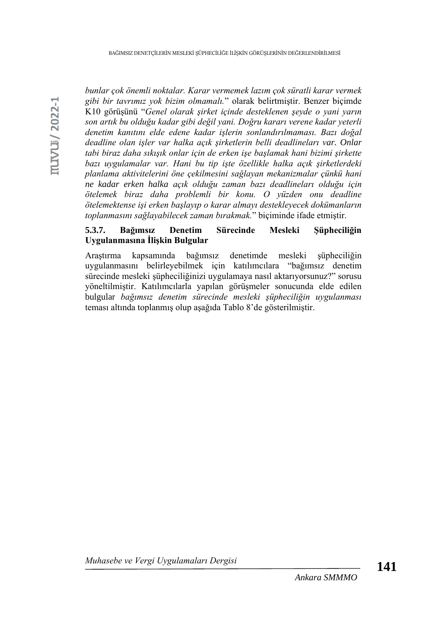*bunlar çok önemli noktalar. Karar vermemek lazım çok süratli karar vermek gibi bir tavrımız yok bizim olmamalı.*" olarak belirtmiştir. Benzer biçimde K10 görüşünü "*Genel olarak şirket içinde desteklenen şeyde o yani yarın son artık bu olduğu kadar gibi değil yani. Doğru kararı verene kadar yeterli denetim kanıtını elde edene kadar işlerin sonlandırılmaması. Bazı doğal deadline olan işler var halka açık şirketlerin belli deadlineları var. Onlar tabi biraz daha sıkışık onlar için de erken işe başlamak hani bizimi şirkette bazı uygulamalar var. Hani bu tip işte özellikle halka açık şirketlerdeki planlama aktivitelerini öne çekilmesini sağlayan mekanizmalar çünkü hani ne kadar erken halka açık olduğu zaman bazı deadlineları olduğu için ötelemek biraz daha problemli bir konu. O yüzden onu deadline ötelemektense işi erken başlayıp o karar almayı destekleyecek dokümanların toplanmasını sağlayabilecek zaman bırakmak.*" biçiminde ifade etmiştir.

# **5.3.7. Bağımsız Denetim Sürecinde Mesleki Şüpheciliğin Uygulanmasına İlişkin Bulgular**

Araştırma kapsamında bağımsız denetimde mesleki şüpheciliğin uygulanmasını belirleyebilmek için katılımcılara "bağımsız denetim sürecinde mesleki şüpheciliğinizi uygulamaya nasıl aktarıyorsunuz?" sorusu yöneltilmiştir. Katılımcılarla yapılan görüşmeler sonucunda elde edilen bulgular *bağımsız denetim sürecinde mesleki şüpheciliğin uygulanması* teması altında toplanmış olup aşağıda Tablo 8'de gösterilmiştir.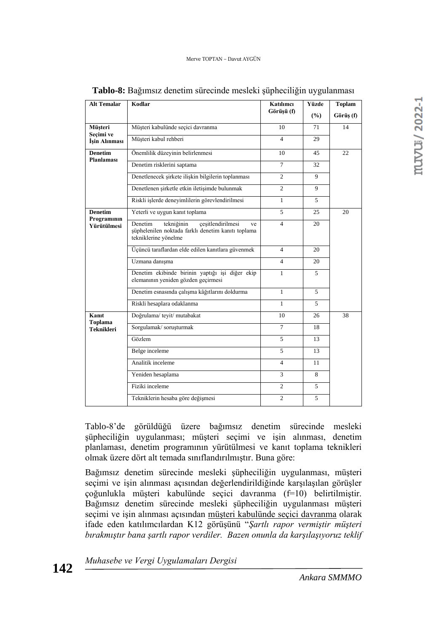| <b>Alt Temalar</b>         | Kodlar                                                                                                                         | Katılımcı<br>Görüşü (f)  | Yüzde<br>(%) | <b>Toplam</b><br>Görüş (f) |
|----------------------------|--------------------------------------------------------------------------------------------------------------------------------|--------------------------|--------------|----------------------------|
| Müşteri                    | Müşteri kabulünde seçici davranma                                                                                              | 10                       | 71           | 14                         |
| Secimi ve<br>İşin Alınması | Müşteri kabul rehberi                                                                                                          | 4                        | 29           |                            |
| Denetim                    | Önemlilik düzeyinin belirlenmesi                                                                                               | 10                       | 45           | 22                         |
| Planlaması                 | Denetim risklerini saptama                                                                                                     | $\overline{7}$           | 32           |                            |
|                            | Denetlenecek şirkete ilişkin bilgilerin toplanması                                                                             | $\overline{2}$           | 9            |                            |
|                            | Denetlenen şirketle etkin iletişimde bulunmak                                                                                  | $\overline{c}$           | 9            |                            |
|                            | Riskli işlerde deneyimlilerin görevlendirilmesi                                                                                | 1                        | 5            |                            |
| Denetim                    | Yeterli ve uygun kanıt toplama                                                                                                 | 5                        | 25           | 20                         |
| Programının<br>Yürütülmesi | Denetim<br>çeşitlendirilmesi<br>tekniğinin<br>ve<br>şüphelenilen noktada farklı denetim kanıtı toplama<br>tekniklerine yönelme | $\overline{\mathcal{L}}$ | 20           |                            |
|                            | Üçüncü taraflardan elde edilen kanıtlara güvenmek                                                                              | $\overline{4}$           | 20           |                            |
|                            | Uzmana danışma                                                                                                                 | $\overline{4}$           | 20           |                            |
|                            | Denetim ekibinde birinin yaptığı işi diğer ekip<br>elemanının yeniden gözden geçirmesi                                         | 1                        | 5            |                            |
|                            | Denetim esnasında çalışma kâğıtlarını doldurma                                                                                 | 1                        | 5            |                            |
|                            | Riskli hesaplara odaklanma                                                                                                     | $\mathbf{1}$             | 5.           |                            |
| Kanıt<br>Toplama           | Doğrulama/teyit/mutabakat                                                                                                      | 10                       | 26           | 38                         |
| Teknikleri                 | Sorgulamak/soruşturmak                                                                                                         | $\tau$                   | 18           |                            |
|                            | Gözlem                                                                                                                         | 5                        | 13           |                            |
|                            | Belge inceleme                                                                                                                 | 5                        | 13           |                            |
|                            | Analitik inceleme                                                                                                              | $\overline{4}$           | 11           |                            |
|                            | Yeniden hesaplama                                                                                                              | 3                        | 8            |                            |
|                            | Fiziki inceleme                                                                                                                | $\overline{2}$           | 5            |                            |
|                            | Tekniklerin hesaba göre değişmesi                                                                                              | $\overline{c}$           | 5            |                            |

**Tablo-8:** Bağımsız denetim sürecinde mesleki şüpheciliğin uygulanması

Tablo-8'de görüldüğü üzere bağımsız denetim sürecinde mesleki şüpheciliğin uygulanması; müşteri seçimi ve işin alınması, denetim planlaması, denetim programının yürütülmesi ve kanıt toplama teknikleri olmak üzere dört alt temada sınıflandırılmıştır. Buna göre:

Bağımsız denetim sürecinde mesleki şüpheciliğin uygulanması, müşteri seçimi ve işin alınması açısından değerlendirildiğinde karşılaşılan görüşler çoğunlukla müşteri kabulünde seçici davranma (f=10) belirtilmiştir. Bağımsız denetim sürecinde mesleki şüpheciliğin uygulanması müşteri seçimi ve işin alınması açısından müşteri kabulünde seçici davranma olarak ifade eden katılımcılardan K12 görüşünü "*Şartlı rapor vermiştir müşteri bırakmıştır bana şartlı rapor verdiler. Bazen onunla da karşılaşıyoruz teklif* 

*Muhasebe ve Vergi Uygulamaları Dergisi*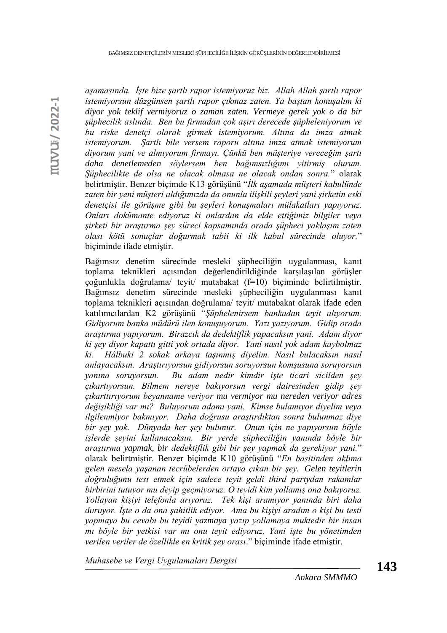*aşamasında. İşte bize şartlı rapor istemiyoruz biz. Allah Allah şartlı rapor istemiyorsun düzgünsen şartlı rapor çıkmaz zaten. Ya baştan konuşalım ki diyor yok teklif vermiyoruz o zaman zaten. Vermeye gerek yok o da bir şüphecilik aslında. Ben bu firmadan çok aşırı derecede şüpheleniyorum ve bu riske denetçi olarak girmek istemiyorum. Altına da imza atmak istemiyorum. Şartlı bile versem raporu altına imza atmak istemiyorum diyorum yani ve almıyorum firmayı. Çünkü ben müşteriye vereceğim şartı daha denetlemeden söylersem ben bağımsızlığımı yitirmiş olurum. Şüphecilikte de olsa ne olacak olmasa ne olacak ondan sonra.*" olarak belirtmiştir. Benzer biçimde K13 görüşünü "*İlk aşamada müşteri kabulünde zaten bir yeni müşteri aldığımızda da onunla ilişkili şeyleri yani şirketin eski denetçisi ile görüşme gibi bu şeyleri konuşmaları mülakatları yapıyoruz. Onları dokümante ediyoruz ki onlardan da elde ettiğimiz bilgiler veya şirketi bir araştırma şey süreci kapsamında orada şüpheci yaklaşım zaten olası kötü sonuçlar doğurmak tabii ki ilk kabul sürecinde oluyor.*" biçiminde ifade etmiştir.

Bağımsız denetim sürecinde mesleki şüpheciliğin uygulanması, kanıt toplama teknikleri açısından değerlendirildiğinde karşılaşılan görüşler çoğunlukla doğrulama/ teyit/ mutabakat (f=10) biçiminde belirtilmiştir. Bağımsız denetim sürecinde mesleki şüpheciliğin uygulanması kanıt toplama teknikleri açısından doğrulama/ teyit/ mutabakat olarak ifade eden katılımcılardan K2 görüşünü "*Şüphelenirsem bankadan teyit alıyorum. Gidiyorum banka müdürü ilen konuşuyorum. Yazı yazıyorum. Gidip orada araştırma yapıyorum. Birazcık da dedektiflik yapacaksın yani. Adam diyor ki şey diyor kapattı gitti yok ortada diyor. Yani nasıl yok adam kaybolmaz ki. Hâlbuki 2 sokak arkaya taşınmış diyelim. Nasıl bulacaksın nasıl anlayacaksın. Araştırıyorsun gidiyorsun soruyorsun komşusuna soruyorsun yanına soruyorsun. Bu adam nedir kimdir işte ticari sicilden şey çıkartıyorsun. Bilmem nereye bakıyorsun vergi dairesinden gidip şey çıkarttırıyorum beyanname veriyor mu vermiyor mu nereden veriyor adres değişikliği var mı? Buluyorum adamı yani. Kimse bulamıyor diyelim veya ilgilenmiyor bakmıyor. Daha doğrusu araştırdıktan sonra bulunmaz diye bir şey yok. Dünyada her şey bulunur. Onun için ne yapıyorsun böyle işlerde şeyini kullanacaksın. Bir yerde şüpheciliğin yanında böyle bir araştırma yapmak, bir dedektiflik gibi bir şey yapmak da gerekiyor yani.*" olarak belirtmiştir. Benzer biçimde K10 görüşünü "*En basitinden aklıma gelen mesela yaşanan tecrübelerden ortaya çıkan bir şey. Gelen teyitlerin doğruluğunu test etmek için sadece teyit geldi third partydan rakamlar birbirini tutuyor mu deyip geçmiyoruz. O teyidi kim yollamış ona bakıyoruz. Yollayan kişiyi telefonla arıyoruz. Tek kişi aramıyor yanında biri daha duruyor. İşte o da ona şahitlik ediyor. Ama bu kişiyi aradım o kişi bu testi yapmaya bu cevabı bu teyidi yazmaya yazıp yollamaya muktedir bir insan mı böyle bir yetkisi var mı onu teyit ediyoruz. Yani işte bu yönetimden verilen veriler de özellikle en kritik şey orası*." biçiminde ifade etmiştir.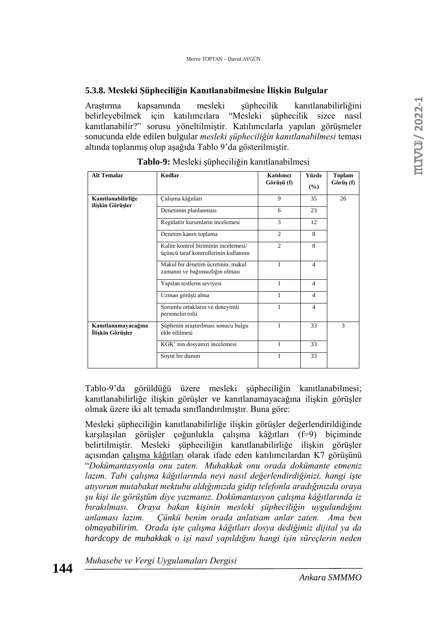# **5.3.8. Mesleki Şüpheciliğin Kanıtlanabilmesine İlişkin Bulgular**

Araştırma kapsamında mesleki şüphecilik kanıtlanabilirliğini belirleyebilmek için katılımcılara "Mesleki şüphecilik sizce nasıl kanıtlanabilir?" sorusu yöneltilmiştir. Katılımcılarla yapılan görüşmeler sonucunda elde edilen bulgular *mesleki şüpheciliğin kanıtlanabilmesi* teması altında toplanmış olup aşağıda Tablo 9'da gösterilmiştir.

| <b>Alt Temalar</b>                      | Kodlar                                                                        | Katılımcı<br>Görüşü (f) | Yüzde<br>(%)   | Toplam<br>Görüş (f) |
|-----------------------------------------|-------------------------------------------------------------------------------|-------------------------|----------------|---------------------|
| Kanıtlanabilirliğe<br>ilişkin Görüşler  | Çalışma kâğıtları                                                             | 9                       | 35             | 26                  |
|                                         | Denetimin planlanması                                                         | 6                       | 23             |                     |
|                                         | Regülatör kurumların incelemesi                                               | 3                       | 12             |                     |
|                                         | Denetim kanıtı toplama                                                        | 2                       | 8              |                     |
|                                         | Kalite kontrol biriminin incelemesi/<br>üçüncü taraf kontrollerinin kullanımı | $\mathfrak{D}$          | 8              |                     |
|                                         | Makul bir denetim ücretinin, makul<br>zamanın ve bağımsızlığın olması         | $\mathbf{1}$            | $\overline{4}$ |                     |
|                                         | Yapılan testlerin seviyesi                                                    | 1                       | 4              |                     |
|                                         | Uzman görüşü alma                                                             | 1                       | $\overline{4}$ |                     |
|                                         | Sorumlu ortakların ve deneyimli<br>personelin rolü                            | 1                       | $\overline{4}$ |                     |
| Kanıtlanamayacağına<br>İlişkin Görüşler | Süphenin araştırılması sonucu bulgu<br>elde edilmesi                          | 1                       | 33             | 3                   |
|                                         | KGK' nin dosyanizi incelemesi                                                 | 1                       | 33             |                     |
|                                         | Soyut bir durum                                                               | 1                       | 33             |                     |

**Tablo-9:** Mesleki şüpheciliğin kanıtlanabilmesi

Tablo-9'da görüldüğü üzere mesleki şüpheciliğin kanıtlanabilmesi; kanıtlanabilirliğe ilişkin görüşler ve kanıtlanamayacağına ilişkin görüşler olmak üzere iki alt temada sınıflandırılmıştır. Buna göre:

Mesleki şüpheciliğin kanıtlanabilirliğe ilişkin görüşler değerlendirildiğinde karşılaşılan görüşler çoğunlukla çalışma kâğıtları (f=9) biçiminde belirtilmiştir. Mesleki şüpheciliğin kanıtlanabilirliğe ilişkin görüşler açısından çalışma kâğıtları olarak ifade eden katılımcılardan K7 görüşünü "*Dokümantasyonla onu zaten. Muhakkak onu orada dokümante etmeniz lazım. Tabi çalışma kâğıtlarında neyi nasıl değerlendirdiğinizi, hangi işte atıyorum mutabakat mektubu aldığımızda gidip telefonla aradığınızda oraya şu kişi ile görüştüm diye yazmanız. Dokümantasyon çalışma kâğıtlarında iz bırakılması. Oraya bakan kişinin mesleki şüpheciliğin uygulandığını anlaması lazım. Çünkü benim orada anlatsam anlar zaten. Ama ben olmayabilirim. Orada işte çalışma kâğıtları dosya dediğimiz dijital ya da hardcopy de muhakkak o işi nasıl yapıldığını hangi işin süreçlerin neden*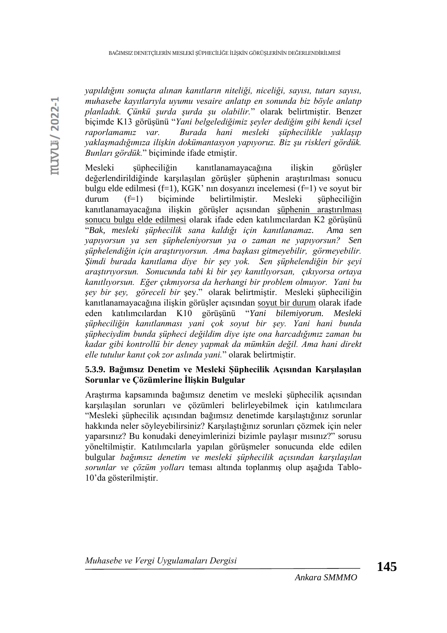*yapıldığını sonuçta alınan kanıtların niteliği, niceliği, sayısı, tutarı sayısı, muhasebe kayıtlarıyla uyumu vesaire anlatıp en sonunda biz böyle anlatıp planladık. Çünkü şurda şurda şu olabilir.*" olarak belirtmiştir. Benzer biçimde K13 görüşünü "*Yani belgelediğimiz şeyler dediğim gibi kendi içsel raporlamamız var. Burada hani mesleki şüphecilikle yaklaşıp yaklaşmadığımıza ilişkin dokümantasyon yapıyoruz. Biz şu riskleri gördük. Bunları gördük.*" biçiminde ifade etmiştir.

Mesleki şüpheciliğin kanıtlanamayacağına ilişkin görüşler değerlendirildiğinde karşılaşılan görüşler şüphenin araştırılması sonucu bulgu elde edilmesi (f=1), KGK' nin dosyanızı incelemesi (f=1) ve soyut bir durum (f=1) biçiminde belirtilmiştir. Mesleki şüpheciliğin kanıtlanamayacağına ilişkin görüşler açısından şüphenin araştırılması sonucu bulgu elde edilmesi olarak ifade eden katılımcılardan K2 görüşünü "*Bak, mesleki şüphecilik sana kaldığı için kanıtlanamaz. Ama sen yapıyorsun ya sen şüpheleniyorsun ya o zaman ne yapıyorsun? Sen şüphelendiğin için araştırıyorsun. Ama başkası gitmeyebilir, görmeyebilir. Şimdi burada kanıtlama diye bir şey yok. Sen şüphelendiğin bir şeyi araştırıyorsun. Sonucunda tabi ki bir şey kanıtlıyorsan, çıkıyorsa ortaya kanıtlıyorsun. Eğer çıkmıyorsa da herhangi bir problem olmuyor. Yani bu şey bir şey, göreceli bir* şey." olarak belirtmiştir. Mesleki şüpheciliğin kanıtlanamayacağına ilişkin görüşler açısından soyut bir durum olarak ifade eden katılımcılardan K10 görüşünü "*Yani bilemiyorum. Mesleki şüpheciliğin kanıtlanması yani çok soyut bir şey. Yani hani bunda şüpheciydim bunda şüpheci değildim diye işte ona harcadığımız zaman bu kadar gibi kontrollü bir deney yapmak da mümkün değil. Ama hani direkt elle tutulur kanıt çok zor aslında yani.*" olarak belirtmiştir.

## **5.3.9. Bağımsız Denetim ve Mesleki Şüphecilik Açısından Karşılaşılan Sorunlar ve Çözümlerine İlişkin Bulgular**

Araştırma kapsamında bağımsız denetim ve mesleki şüphecilik açısından karşılaşılan sorunları ve çözümleri belirleyebilmek için katılımcılara "Mesleki şüphecilik açısından bağımsız denetimde karşılaştığınız sorunlar hakkında neler söyleyebilirsiniz? Karşılaştığınız sorunları çözmek için neler yaparsınız? Bu konudaki deneyimlerinizi bizimle paylaşır mısınız?" sorusu yöneltilmiştir. Katılımcılarla yapılan görüşmeler sonucunda elde edilen bulgular *bağımsız denetim ve mesleki şüphecilik açısından karşılaşılan sorunlar ve çözüm yolları* teması altında toplanmış olup aşağıda Tablo-10'da gösterilmiştir.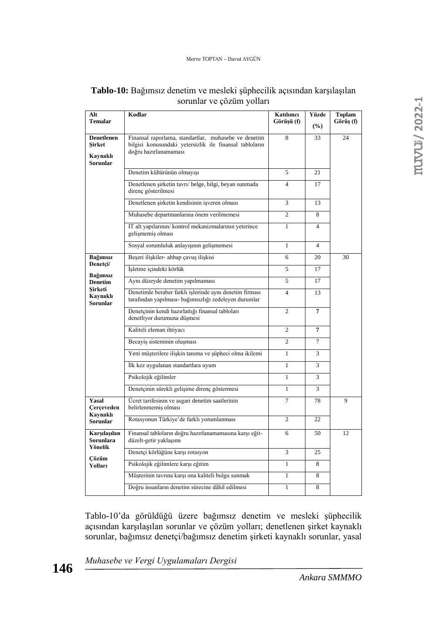| Alt<br><b>Temalar</b>                       | Kodlar                                                                                                           | Katılımcı<br>Görüşü (f) | Yüzde<br>(%)   | <b>Toplam</b><br>Görüş (f) |  |
|---------------------------------------------|------------------------------------------------------------------------------------------------------------------|-------------------------|----------------|----------------------------|--|
| <b>Denetlenen</b>                           | Finansal raporlama, standartlar, muhasebe ve denetim                                                             | 8                       | 33             | 24                         |  |
| Sirket                                      | bilgisi konusundaki yetersizlik ile finansal tabloların<br>doğru hazırlanamaması                                 |                         |                |                            |  |
| Kaynaklı<br><b>Sorunlar</b>                 |                                                                                                                  |                         |                |                            |  |
|                                             | Denetim kültürünün olmayışı                                                                                      | 5                       | 21             |                            |  |
|                                             | Denetlenen şirketin tavrı/ belge, bilgi, beyan sunmada<br>direnç gösterilmesi                                    | $\overline{4}$          | 17             |                            |  |
|                                             | Denetlenen sirketin kendisinin isveren olması                                                                    | 3                       | 13             |                            |  |
|                                             | Muhasebe departmanlarına önem verilmemesi                                                                        | $\overline{c}$          | 8              |                            |  |
|                                             | IT alt yapılarının/ kontrol mekanizmalarının yeterince<br>gelişmemiş olması                                      | $\mathbf{1}$            | $\Delta$       |                            |  |
|                                             | Sosyal sorumluluk anlayışının gelişmemesi                                                                        | $\mathbf{1}$            | $\overline{4}$ |                            |  |
| Bağımsız<br>Denetçi/                        | Beşeri ilişkiler- ahbap çavuş ilişkisi                                                                           | 6                       | 20             | 30                         |  |
| Bağımsız                                    | İşletme içindeki körlük                                                                                          | 5                       | 17             |                            |  |
| <b>Denetim</b>                              | Aynı düzeyde denetim yapılmaması                                                                                 | 5                       | 17             |                            |  |
| Sirketi<br>Kaynaklı<br><b>Sorunlar</b>      | Denetimle beraber farklı işlerinde aynı denetim firması<br>tarafından yapılması- bağımsızlığı zedeleyen durumlar | $\overline{4}$          | 13             |                            |  |
|                                             | Denetçinin kendi hazırlattığı finansal tabloları<br>denetliyor durumuna düşmesi                                  | $\overline{c}$          | 7              |                            |  |
|                                             | Kaliteli eleman ihtiyacı                                                                                         | $\overline{2}$          | 7              |                            |  |
|                                             | Becayis sisteminin oluşması                                                                                      | $\overline{c}$          | 7              |                            |  |
|                                             | Yeni müşterilere ilişkin tanıma ve şüpheci olma ikilemi                                                          | $\mathbf{1}$            | 3              |                            |  |
|                                             | İlk kez uygulanan standartlara uyum                                                                              | $\mathbf{1}$            | 3              |                            |  |
|                                             | Psikolojik eğilimler                                                                                             | $\mathbf{1}$            | 3              |                            |  |
|                                             | Denetçinin sürekli gelişime direnç göstermesi                                                                    | $\mathbf{1}$            | 3              |                            |  |
| Yasal<br>Cerçeveden                         | Ücret tarifesinin ve asgari denetim saatlerinin<br>belirlenmemiş olması                                          | $\overline{7}$          | 78             | 9                          |  |
| Kaynaklı<br><b>Sorunlar</b>                 | Rotasyonun Türkiye'de farklı yorumlanması                                                                        | $\overline{2}$          | 22             |                            |  |
| Karsılasılan<br><b>Sorunlara</b><br>Yönelik | Finansal tabloların doğru hazırlanamamasına karşı eğit-<br>düzelt-getir yaklaşımı                                | 6                       | 50             | 12                         |  |
| Cözüm                                       | Denetçi körlüğüne karşı rotasyon                                                                                 | 3                       | 25             |                            |  |
| Yolları                                     | Psikolojik eğilimlere karşı eğitim                                                                               | $\mathbf{1}$            | 8              |                            |  |
|                                             | Müşterinin tavrına karşı ona kaliteli bulgu sunmak                                                               | $\mathbf{1}$            | 8              |                            |  |
|                                             | Doğru insanların denetim sürecine dâhil edilmesi                                                                 | $\mathbf{1}$            | 8              |                            |  |

# **Tablo-10:** Bağımsız denetim ve mesleki şüphecilik açısından karşılaşılan sorunlar ve çözüm yolları

Tablo-10'da görüldüğü üzere bağımsız denetim ve mesleki şüphecilik açısından karşılaşılan sorunlar ve çözüm yolları; denetlenen şirket kaynaklı sorunlar, bağımsız denetçi/bağımsız denetim şirketi kaynaklı sorunlar, yasal

*Muhasebe ve Vergi Uygulamaları Dergisi*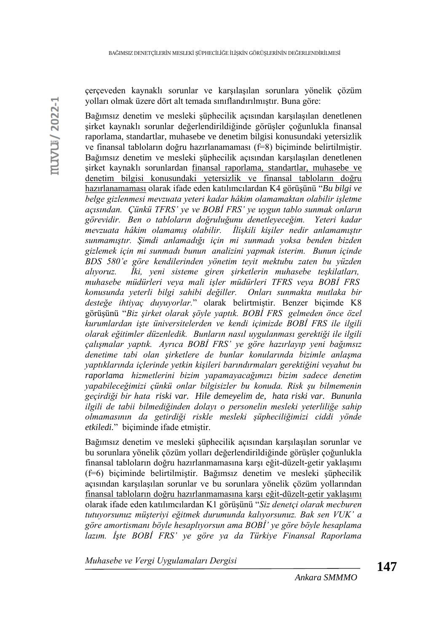çerçeveden kaynaklı sorunlar ve karşılaşılan sorunlara yönelik çözüm yolları olmak üzere dört alt temada sınıflandırılmıştır. Buna göre:

Bağımsız denetim ve mesleki şüphecilik açısından karşılaşılan denetlenen şirket kaynaklı sorunlar değerlendirildiğinde görüşler çoğunlukla finansal raporlama, standartlar, muhasebe ve denetim bilgisi konusundaki yetersizlik ve finansal tabloların doğru hazırlanamaması (f=8) biçiminde belirtilmiştir. Bağımsız denetim ve mesleki şüphecilik açısından karşılaşılan denetlenen şirket kaynaklı sorunlardan finansal raporlama, standartlar, muhasebe ve denetim bilgisi konusundaki yetersizlik ve finansal tabloların doğru hazırlanamaması olarak ifade eden katılımcılardan K4 görüşünü "*Bu bilgi ve belge gizlenmesi mevzuata yeteri kadar hâkim olamamaktan olabilir işletme açısından. Çünkü TFRS' ye ve BOBİ FRS' ye uygun tablo sunmak onların görevidir. Ben o tabloların doğruluğunu denetleyeceğim. Yeteri kadar mevzuata hâkim olamamış olabilir. İlişkili kişiler nedir anlamamıştır sunmamıştır. Şimdi anlamadığı için mi sunmadı yoksa benden bizden gizlemek için mi sunmadı bunun analizini yapmak isterim. Bunun içinde BDS 580'e göre kendilerinden yönetim teyit mektubu zaten bu yüzden alıyoruz. İki, yeni sisteme giren şirketlerin muhasebe teşkilatları, muhasebe müdürleri veya mali işler müdürleri TFRS veya BOBİ FRS konusunda yeterli bilgi sahibi değiller. Onları sunmakta mutlaka bir desteğe ihtiyaç duyuyorlar.*" olarak belirtmiştir. Benzer biçimde K8 görüşünü "*Biz şirket olarak şöyle yaptık. BOBİ FRS gelmeden önce özel kurumlardan işte üniversitelerden ve kendi içimizde BOBİ FRS ile ilgili olarak eğitimler düzenledik. Bunların nasıl uygulanması gerektiği ile ilgili çalışmalar yaptık. Ayrıca BOBİ FRS' ye göre hazırlayıp yeni bağımsız denetime tabi olan şirketlere de bunlar konularında bizimle anlaşma yaptıklarında içlerinde yetkin kişileri barındırmaları gerektiğini veyahut bu raporlama hizmetlerini bizim yapamayacağımızı bizim sadece denetim yapabileceğimizi çünkü onlar bilgisizler bu konuda. Risk şu bilmemenin geçirdiği bir hata riski var. Hile demeyelim de, hata riski var. Bununla ilgili de tabii bilmediğinden dolayı o personelin mesleki yeterliliğe sahip olmamasının da getirdiği riskle mesleki şüpheciliğimizi ciddi yönde etkiledi.*" biçiminde ifade etmiştir.

Bağımsız denetim ve mesleki şüphecilik açısından karşılaşılan sorunlar ve bu sorunlara yönelik çözüm yolları değerlendirildiğinde görüşler çoğunlukla finansal tabloların doğru hazırlanmamasına karşı eğit-düzelt-getir yaklaşımı (f=6) biçiminde belirtilmiştir. Bağımsız denetim ve mesleki şüphecilik açısından karşılaşılan sorunlar ve bu sorunlara yönelik çözüm yollarından finansal tabloların doğru hazırlanmamasına karşı eğit-düzelt-getir yaklaşımı olarak ifade eden katılımcılardan K1 görüşünü "*Siz denetçi olarak mecburen tutuyorsunuz müşteriyi eğitmek durumunda kalıyorsunuz. Bak sen VUK' a göre amortismanı böyle hesaplıyorsun ama BOBİ' ye göre böyle hesaplama lazım. İşte BOBİ FRS' ye göre ya da Türkiye Finansal Raporlama*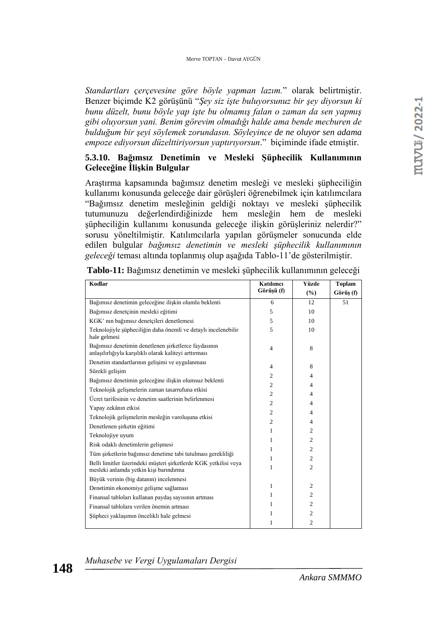*Standartları çerçevesine göre böyle yapman lazım.*" olarak belirtmiştir. Benzer biçimde K2 görüşünü "*Şey siz işte buluyorsunuz bir şey diyorsun ki bunu düzelt, bunu böyle yap işte bu olmamış falan o zaman da sen yapmış gibi oluyorsun yani. Benim görevim olmadığı halde ama bende mecburen de bulduğum bir şeyi söylemek zorundasın. Söyleyince de ne oluyor sen adama empoze ediyorsun düzelttiriyorsun yaptırıyorsun*." biçiminde ifade etmiştir.

### **5.3.10. Bağımsız Denetimin ve Mesleki Şüphecilik Kullanımının Geleceğine İlişkin Bulgular**

Araştırma kapsamında bağımsız denetim mesleği ve mesleki şüpheciliğin kullanımı konusunda geleceğe dair görüşleri öğrenebilmek için katılımcılara "Bağımsız denetim mesleğinin geldiği noktayı ve mesleki şüphecilik tutumunuzu değerlendirdiğinizde hem mesleğin hem de mesleki şüpheciliğin kullanımı konusunda geleceğe ilişkin görüşleriniz nelerdir?" sorusu yöneltilmiştir. Katılımcılarla yapılan görüşmeler sonucunda elde edilen bulgular *bağımsız denetimin ve mesleki şüphecilik kullanımının geleceği* teması altında toplanmış olup aşağıda Tablo-11'de gösterilmiştir.

| Kodlar                                                                                                         | Katılımcı      | <b>Yüzde</b>                     | <b>Toplam</b> |
|----------------------------------------------------------------------------------------------------------------|----------------|----------------------------------|---------------|
|                                                                                                                | Görüşü (f)     | (%)                              | Görüş (f)     |
| Bağımsız denetimin geleceğine ilişkin olumlu beklenti                                                          | 6              | 12                               | 51            |
| Bağımsız denetçinin mesleki eğitimi                                                                            | 5              | 10                               |               |
| KGK' nın bağımsız denetçileri denetlemesi                                                                      | 5              | 10                               |               |
| Teknolojiyle süpheciliğin daha önemli ve detaylı incelenebilir<br>hale gelmesi                                 | 5              | 10                               |               |
| Bağımsız denetimin denetlenen şirketlerce faydasının<br>anlaşılırlığıyla karşılıklı olarak kaliteyi arttırması | $\overline{4}$ | 8                                |               |
| Denetim standartlarının gelişimi ve uygulanması                                                                | $\overline{4}$ | 8                                |               |
| Sürekli gelişim                                                                                                | $\overline{c}$ | $\overline{4}$                   |               |
| Bağımsız denetimin geleceğine ilişkin olumsuz beklenti                                                         | $\mathfrak{2}$ | $\overline{4}$                   |               |
| Teknolojik gelişmelerin zaman tasarrufuna etkisi                                                               | $\overline{2}$ | $\overline{4}$                   |               |
| Ücret tarifesinin ve denetim saatlerinin belirlenmesi                                                          | $\mathfrak{2}$ | $\overline{4}$                   |               |
| Yapay zekânın etkisi                                                                                           | $\overline{2}$ | $\overline{4}$                   |               |
| Teknolojik gelişmelerin mesleğin varoluşuna etkisi                                                             | $\overline{c}$ | $\overline{4}$                   |               |
| Denetlenen şirketin eğitimi                                                                                    |                |                                  |               |
| Teknolojiye uyum                                                                                               | 1              | $\overline{c}$<br>$\overline{c}$ |               |
| Risk odaklı denetimlerin gelişmesi                                                                             | 1              |                                  |               |
| Tüm şirketlerin bağımsız denetime tabi tutulması gerekliliği                                                   | 1              | $\overline{c}$                   |               |
| Belli limitler üzerindeki müşteri şirketlerde KGK yetkilisi veya<br>mesleki anlamda yetkin kişi barındırma     | 1<br>1         | $\overline{c}$<br>$\overline{c}$ |               |
| Büyük verinin (big datanın) incelenmesi                                                                        |                |                                  |               |
| Denetimin ekonomiye gelişme sağlaması                                                                          | $\mathbf{1}$   | $\overline{c}$                   |               |
| Finansal tabloları kullanan paydaş sayısının artması                                                           | 1              | $\mathfrak{2}$                   |               |
| Finansal tablolara verilen önemin artması                                                                      | 1              | $\overline{c}$                   |               |
| Şüpheci yaklaşımın öncelikli hale gelmesi                                                                      | 1              | $\mathfrak{2}$                   |               |
|                                                                                                                | 1              | $\overline{c}$                   |               |

| Tablo-11: Bağımsız denetimin ve mesleki şüphecilik kullanımının geleceği |  |  |  |
|--------------------------------------------------------------------------|--|--|--|
|                                                                          |  |  |  |

*Muhasebe ve Vergi Uygulamaları Dergisi*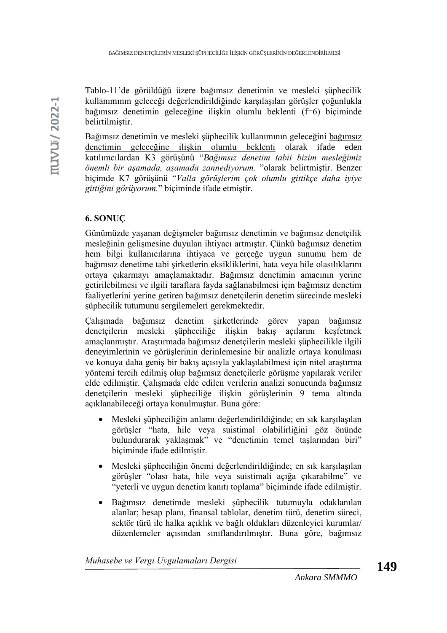Tablo-11'de görüldüğü üzere bağımsız denetimin ve mesleki şüphecilik kullanımının geleceği değerlendirildiğinde karşılaşılan görüşler çoğunlukla bağımsız denetimin geleceğine ilişkin olumlu beklenti (f=6) biçiminde belirtilmiştir.

Bağımsız denetimin ve mesleki şüphecilik kullanımının geleceğini bağımsız denetimin geleceğine ilişkin olumlu beklenti olarak ifade eden katılımcılardan K3 görüşünü "*Bağımsız denetim tabii bizim mesleğimiz önemli bir aşamada, aşamada zannediyorum.* "olarak belirtmiştir. Benzer biçimde K7 görüşünü "*Valla görüşlerim çok olumlu gittikçe daha iyiye gittiğini görüyorum.*" biçiminde ifade etmiştir.

# **6. SONUÇ**

Günümüzde yaşanan değişmeler bağımsız denetimin ve bağımsız denetçilik mesleğinin gelişmesine duyulan ihtiyacı artmıştır. Çünkü bağımsız denetim hem bilgi kullanıcılarına ihtiyaca ve gerçeğe uygun sunumu hem de bağımsız denetime tabi şirketlerin eksikliklerini, hata veya hile olasılıklarını ortaya çıkarmayı amaçlamaktadır. Bağımsız denetimin amacının yerine getirilebilmesi ve ilgili taraflara fayda sağlanabilmesi için bağımsız denetim faaliyetlerini yerine getiren bağımsız denetçilerin denetim sürecinde mesleki şüphecilik tutumunu sergilemeleri gerekmektedir.

Çalışmada bağımsız denetim şirketlerinde görev yapan bağımsız denetçilerin mesleki şüpheciliğe ilişkin bakış açılarını keşfetmek amaçlanmıştır. Araştırmada bağımsız denetçilerin mesleki şüphecilikle ilgili deneyimlerinin ve görüşlerinin derinlemesine bir analizle ortaya konulması ve konuya daha geniş bir bakış açısıyla yaklaşılabilmesi için nitel araştırma yöntemi tercih edilmiş olup bağımsız denetçilerle görüşme yapılarak veriler elde edilmiştir. Çalışmada elde edilen verilerin analizi sonucunda bağımsız denetçilerin mesleki şüpheciliğe ilişkin görüşlerinin 9 tema altında açıklanabileceği ortaya konulmuştur. Buna göre:

- Mesleki şüpheciliğin anlamı değerlendirildiğinde; en sık karşılaşılan görüşler "hata, hile veya suistimal olabilirliğini göz önünde bulundurarak yaklaşmak" ve "denetimin temel taşlarından biri" biçiminde ifade edilmiştir.
- Mesleki şüpheciliğin önemi değerlendirildiğinde; en sık karşılaşılan görüşler "olası hata, hile veya suistimali açığa çıkarabilme" ve "yeterli ve uygun denetim kanıtı toplama" biçiminde ifade edilmiştir.
- Bağımsız denetimde mesleki şüphecilik tutumuyla odaklanılan alanlar; hesap planı, finansal tablolar, denetim türü, denetim süreci, sektör türü ile halka açıklık ve bağlı oldukları düzenleyici kurumlar/ düzenlemeler açısından sınıflandırılmıştır. Buna göre, bağımsız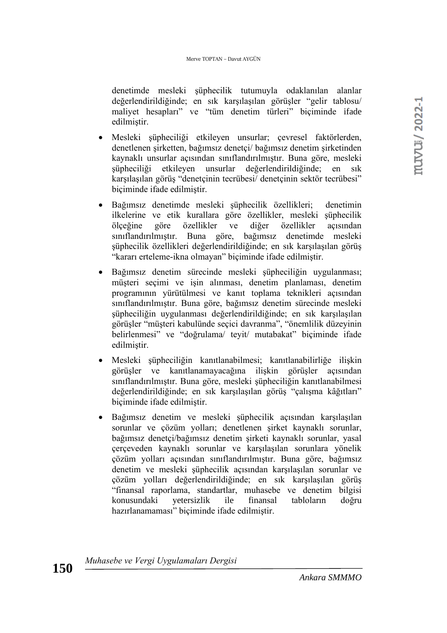denetimde mesleki şüphecilik tutumuyla odaklanılan alanlar değerlendirildiğinde; en sık karşılaşılan görüşler "gelir tablosu/ maliyet hesapları" ve "tüm denetim türleri" biçiminde ifade edilmiştir.

- Mesleki şüpheciliği etkileyen unsurlar; çevresel faktörlerden, denetlenen şirketten, bağımsız denetçi/ bağımsız denetim şirketinden kaynaklı unsurlar açısından sınıflandırılmıştır. Buna göre, mesleki şüpheciliği etkileyen unsurlar değerlendirildiğinde; en sık karşılaşılan görüş "denetçinin tecrübesi/ denetçinin sektör tecrübesi" biçiminde ifade edilmiştir.
- Bağımsız denetimde mesleki şüphecilik özellikleri; denetimin ilkelerine ve etik kurallara göre özellikler, mesleki şüphecilik ölçeğine göre özellikler ve diğer özellikler açısından sınıflandırılmıştır. Buna göre, bağımsız denetimde mesleki şüphecilik özellikleri değerlendirildiğinde; en sık karşılaşılan görüş "kararı erteleme-ikna olmayan" biçiminde ifade edilmiştir.
- Bağımsız denetim sürecinde mesleki şüpheciliğin uygulanması; müşteri seçimi ve işin alınması, denetim planlaması, denetim programının yürütülmesi ve kanıt toplama teknikleri açısından sınıflandırılmıştır. Buna göre, bağımsız denetim sürecinde mesleki şüpheciliğin uygulanması değerlendirildiğinde; en sık karşılaşılan görüşler "müşteri kabulünde seçici davranma", "önemlilik düzeyinin belirlenmesi" ve "doğrulama/ teyit/ mutabakat" biçiminde ifade edilmiştir.
- Mesleki şüpheciliğin kanıtlanabilmesi; kanıtlanabilirliğe ilişkin görüşler ve kanıtlanamayacağına ilişkin görüşler açısından sınıflandırılmıştır. Buna göre, mesleki şüpheciliğin kanıtlanabilmesi değerlendirildiğinde; en sık karşılaşılan görüş "çalışma kâğıtları" biçiminde ifade edilmiştir.
- Bağımsız denetim ve mesleki şüphecilik açısından karşılaşılan sorunlar ve çözüm yolları; denetlenen şirket kaynaklı sorunlar, bağımsız denetçi/bağımsız denetim şirketi kaynaklı sorunlar, yasal çerçeveden kaynaklı sorunlar ve karşılaşılan sorunlara yönelik çözüm yolları açısından sınıflandırılmıştır. Buna göre, bağımsız denetim ve mesleki şüphecilik açısından karşılaşılan sorunlar ve çözüm yolları değerlendirildiğinde; en sık karşılaşılan görüş "finansal raporlama, standartlar, muhasebe ve denetim bilgisi konusundaki yetersizlik ile finansal tabloların doğru hazırlanamaması" biçiminde ifade edilmiştir.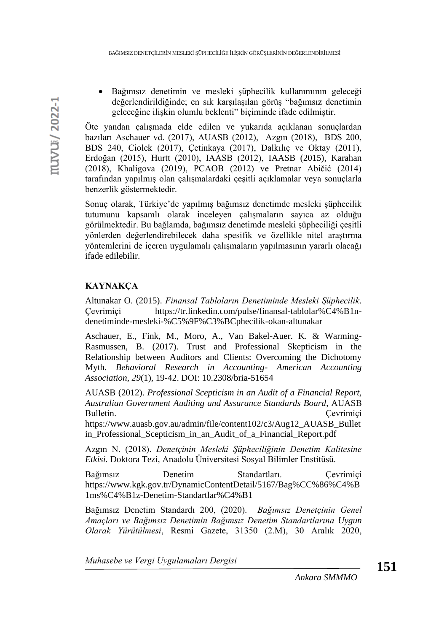• Bağımsız denetimin ve mesleki şüphecilik kullanımının geleceği değerlendirildiğinde; en sık karşılaşılan görüş "bağımsız denetimin geleceğine ilişkin olumlu beklenti" biçiminde ifade edilmiştir.

Öte yandan çalışmada elde edilen ve yukarıda açıklanan sonuçlardan bazıları Aschauer vd. (2017), AUASB (2012), Azgın (2018), BDS 200, BDS 240, Ciolek (2017), Çetinkaya (2017), Dalkılıç ve Oktay (2011), Erdoğan (2015), Hurtt (2010), IAASB (2012), IAASB (2015), Karahan (2018), Khaligova (2019), PCAOB (2012) ve Pretnar Abičić (2014) tarafından yapılmış olan çalışmalardaki çeşitli açıklamalar veya sonuçlarla benzerlik göstermektedir.

Sonuç olarak, Türkiye'de yapılmış bağımsız denetimde mesleki şüphecilik tutumunu kapsamlı olarak inceleyen çalışmaların sayıca az olduğu görülmektedir. Bu bağlamda, bağımsız denetimde mesleki şüpheciliği çeşitli yönlerden değerlendirebilecek daha spesifik ve özellikle nitel araştırma yöntemlerini de içeren uygulamalı çalışmaların yapılmasının yararlı olacağı ifade edilebilir.

# **KAYNAKÇA**

Altunakar O. (2015). *Finansal Tabloların Denetiminde Mesleki Şüphecilik*. Çevrimiçi [https://tr.linkedin.com/pulse/finansal-tablolar%C4%B1n](https://tr.linkedin.com/pulse/finansal-tablolar%C4%B1n-denetiminde-mesleki-%C5%9F%C3%BCphecilik-okan-altunakar)[denetiminde-mesleki-%C5%9F%C3%BCphecilik-okan-altunakar](https://tr.linkedin.com/pulse/finansal-tablolar%C4%B1n-denetiminde-mesleki-%C5%9F%C3%BCphecilik-okan-altunakar)

Aschauer, E., Fink, M., Moro, A., Van Bakel-Auer. K. & Warming-Rasmussen, B. (2017). Trust and Professional Skepticism in the Relationship between Auditors and Clients: Overcoming the Dichotomy Myth. *Behavioral Research in Accounting- American Accounting Association*, *29*(1), 19-42. DOI: 10.2308/bria-51654

AUASB (2012). *Professional Scepticism in an Audit of a Financial Report, Australian Government Auditing and Assurance Standards Board*, AUASB Bulletin. Cevrimici

https://www.auasb.gov.au/admin/file/content102/c3/Aug12\_AUASB\_Bullet in Professional Scepticism in an Audit of a Financial Report.pdf

Azgın N. (2018). *Denetçinin Mesleki Şüpheciliğinin Denetim Kalitesine Etkisi.* Doktora Tezi, Anadolu Üniversitesi Sosyal Bilimler Enstitüsü.

Bağımsız Denetim Standartları. Çevrimiçi [https://www.kgk.gov.tr/DynamicContentDetail/5167/Bag%CC%86%C4%B](https://www.kgk.gov.tr/DynamicContentDetail/5167/Bag%CC%86%C4%B1ms%C4%B1z-Denetim-Standartlar%C4%B1) [1ms%C4%B1z-Denetim-Standartlar%C4%B1](https://www.kgk.gov.tr/DynamicContentDetail/5167/Bag%CC%86%C4%B1ms%C4%B1z-Denetim-Standartlar%C4%B1)

Bağımsız Denetim Standardı 200, (2020). *Bağımsız Denetçinin Genel Amaçları ve Bağımsız Denetimin Bağımsız Denetim Standartlarına Uygun Olarak Yürütülmesi*, Resmi Gazete, 31350 (2.M), 30 Aralık 2020,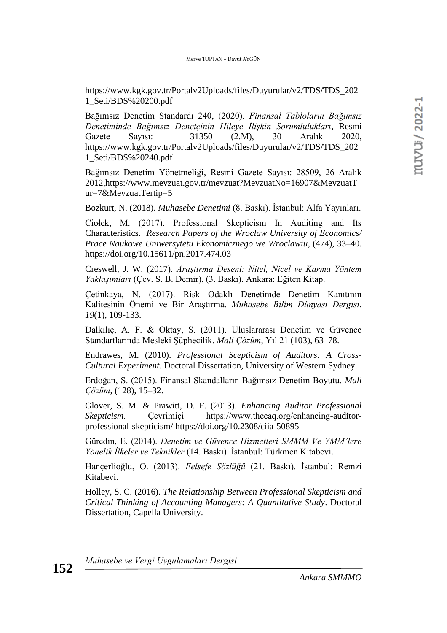[https://www.kgk.gov.tr/Portalv2Uploads/files/Duyurular/v2/TDS/TDS\\_202](https://www.kgk.gov.tr/Portalv2Uploads/files/Duyurular/v2/TDS/TDS_2021_Seti/BDS%20200.pdf) [1\\_Seti/BDS%20200.pdf](https://www.kgk.gov.tr/Portalv2Uploads/files/Duyurular/v2/TDS/TDS_2021_Seti/BDS%20200.pdf)

Bağımsız Denetim Standardı 240, (2020). *Finansal Tabloların Bağımsız Denetiminde Bağımsız Denetçinin Hileye İlişkin Sorumlulukları*, Resmi Gazete Sayısı: 31350 (2.M), 30 Aralık 2020, https://www.kgk.gov.tr/Portalv2Uploads/files/Duyurular/v2/TDS/TDS\_202 1\_Seti/BDS%20240.pdf

Bağımsız Denetim Yönetmeliği, Resmî Gazete Sayısı: 28509, 26 Aralık 2012[,https://www.mevzuat.gov.tr/mevzuat?MevzuatNo=16907&MevzuatT](https://www.mevzuat.gov.tr/mevzuat?MevzuatNo=16907&MevzuatTur=7&MevzuatTertip=5) [ur=7&MevzuatTertip=5](https://www.mevzuat.gov.tr/mevzuat?MevzuatNo=16907&MevzuatTur=7&MevzuatTertip=5)

Bozkurt, N. (2018). *Muhasebe Denetimi* (8. Baskı). İstanbul: Alfa Yayınları.

Ciołek, M. (2017). Professional Skepticism In Auditing and Its Characteristics. *Research Papers of the Wroclaw University of Economics/ Prace Naukowe Uniwersytetu Ekonomicznego we Wroclawiu,* (474), 33–40. https://doi.org/10.15611/pn.2017.474.03

Creswell, J. W. (2017). *Araştırma Deseni: Nitel, Nicel ve Karma Yöntem Yaklaşımları* (Çev. S. B. Demir), (3. Baskı). Ankara: Eğiten Kitap.

Çetinkaya, N. (2017). Risk Odaklı Denetimde Denetim Kanıtının Kalitesinin Önemi ve Bir Araştırma. *Muhasebe Bilim Dünyası Dergisi*, *19*(1), 109-133.

Dalkılıç, A. F. & Oktay, S. (2011). Uluslararası Denetim ve Güvence Standartlarında Mesleki Şüphecilik. *Mali Çözüm*, Yıl 21 (103), 63–78.

Endrawes, M. (2010). *Professional Scepticism of Auditors: A Cross-Cultural Experiment*. Doctoral Dissertation, University of Western Sydney.

Erdoğan, S. (2015). Finansal Skandalların Bağımsız Denetim Boyutu. *Mali Çözüm*, (128), 15–32.

Glover, S. M. & Prawitt, D. F. (2013). *Enhancing Auditor Professional Skepticism*. Çevrimiçi https://www.thecaq.org/enhancing-auditorprofessional-skepticism/ https://doi.org/10.2308/ciia-50895

Güredin, E. (2014). *Denetim ve Güvence Hizmetleri SMMM Ve YMM'lere Yönelik İlkeler ve Teknikler* (14. Baskı). İstanbul: Türkmen Kitabevi.

Hançerlioğlu, O. (2013). *Felsefe Sözlüğü* (21. Baskı). İstanbul: Remzi Kitabevi.

Holley, S. C. (2016). *The Relationship Between Professional Skepticism and Critical Thinking of Accounting Managers: A Quantitative Study*. Doctoral Dissertation, Capella University.

*Muhasebe ve Vergi Uygulamaları Dergisi*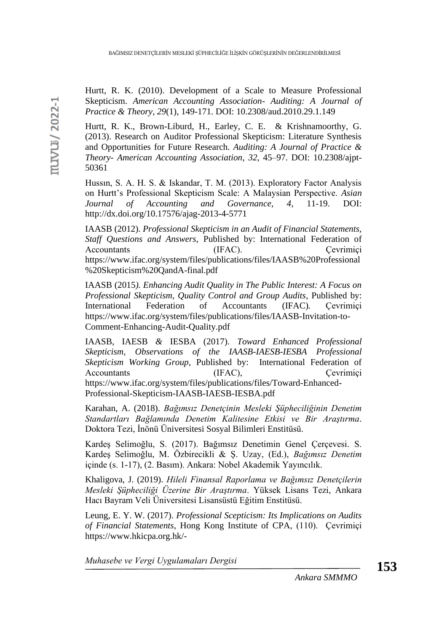Hurtt, R. K. (2010). Development of a Scale to Measure Professional Skepticism. *American Accounting Association- Auditing: A Journal of Practice & Theory*, *29*(1), 149-171. DOI: 10.2308/aud.2010.29.1.149

Hurtt, R. K., Brown-Liburd, H., Earley, C. E. & Krishnamoorthy, G. (2013). Research on Auditor Professional Skepticism: Literature Synthesis and Opportunities for Future Research. *Auditing: A Journal of Practice & Theory- American Accounting Association*, *32*, 45–97. DOI: 10.2308/ajpt-50361

Hussın, S. A. H. S. & Iskandar, T. M. (2013). Exploratory Factor Analysis on Hurtt's Professional Skepticism Scale: A Malaysian Perspective. *Asian Journal of Accounting and Governance, 4*, 11-19. DOI: http://dx.doi.org/10.17576/ajag-2013-4-5771

IAASB (2012). *Professional Skepticism in an Audit of Financial Statements, Staff Questions and Answers*, Published by: International Federation of Accountants (IFAC). Çevrimiçi https://www.ifac.org/system/files/publications/files/IAASB%20Professional %20Skepticism%20QandA-final.pdf

IAASB (2015*). Enhancing Audit Quality in The Public Interest: A Focus on Professional Skepticism, Quality Control and Group Audits*, Published by: International Federation of Accountants (IFAC)*.* Çevrimiçi https://www.ifac.org/system/files/publications/files/IAASB-Invitation-to-Comment-Enhancing-Audit-Quality.pdf

IAASB, IAESB *&* IESBA (2017). *Toward Enhanced Professional Skepticism, Observations of the IAASB-IAESB-IESBA Professional Skepticism Working Group*, Published by: International Federation of Accountants (IFAC), Cevrimiçi https://www.ifac.org/system/files/publications/files/Toward-Enhanced-Professional-Skepticism-IAASB-IAESB-IESBA.pdf

Karahan, A. (2018). *Bağımsız Denetçinin Mesleki Şüpheciliğinin Denetim Standartları Bağlamında Denetim Kalitesine Etkisi ve Bir Araştırma*. Doktora Tezi, İnönü Üniversitesi Sosyal Bilimleri Enstitüsü.

Kardeş Selimoğlu, S. (2017). Bağımsız Denetimin Genel Çerçevesi. S. Kardeş Selimoğlu, M. Özbirecikli & Ş. Uzay, (Ed.), *Bağımsız Denetim* içinde (s. 1-17), (2. Basım). Ankara: Nobel Akademik Yayıncılık.

Khaligova, J. (2019). *Hileli Finansal Raporlama ve Bağımsız Denetçilerin Mesleki Şüpheciliği Üzerine Bir Araştırma*. Yüksek Lisans Tezi, Ankara Hacı Bayram Veli Üniversitesi Lisansüstü Eğitim Enstitüsü.

Leung, E. Y. W. (2017). *Professional Scepticism: Its Implications on Audits of Financial Statements*, Hong Kong Institute of CPA, (110). Çevrimiçi [https://www.hkicpa.org.hk/-](https://www.hkicpa.org.hk/-/media/HKICPAWebsite/HKICPA/QPLC/Technical-articles/Techsource_January-2017_audit.pdf)